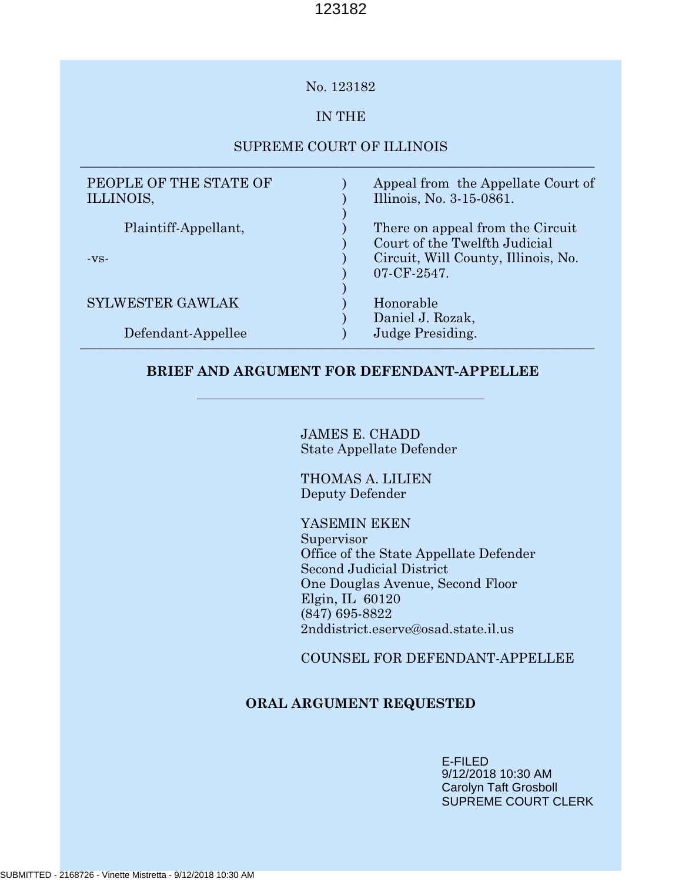## No. 123182

## IN THE

## SUPREME COURT OF ILLINOIS \_\_\_\_\_\_\_\_\_\_\_\_\_\_\_\_\_\_\_\_\_\_\_\_\_\_\_\_\_\_\_\_\_\_\_\_\_\_\_\_\_\_\_\_\_\_\_\_\_\_\_\_\_\_\_\_\_\_\_\_\_\_\_\_\_\_\_\_\_\_\_\_\_\_\_\_\_

| PEOPLE OF THE STATE OF<br>ILLINOIS, | Appeal from the Appellate Court of<br>Illinois, No. 3-15-0861. |
|-------------------------------------|----------------------------------------------------------------|
| Plaintiff-Appellant,                | There on appeal from the Circuit                               |
|                                     | Court of the Twelfth Judicial                                  |
| $-VS-$                              | Circuit, Will County, Illinois, No.                            |
|                                     | 07-CF-2547.                                                    |
| <b>SYLWESTER GAWLAK</b>             | Honorable                                                      |
|                                     | Daniel J. Rozak,                                               |
| Defendant-Appellee                  | Judge Presiding.                                               |

## **BRIEF AND ARGUMENT FOR DEFENDANT-APPELLEE**

JAMES E. CHADD State Appellate Defender

THOMAS A. LILIEN Deputy Defender

YASEMIN EKEN Supervisor Office of the State Appellate Defender Second Judicial District One Douglas Avenue, Second Floor Elgin, IL 60120 (847) 695-8822 2nddistrict.eserve@osad.state.il.us

COUNSEL FOR DEFENDANT-APPELLEE

## **ORAL ARGUMENT REQUESTED**

E-FILED 9/12/2018 10:30 AM Carolyn Taft Grosboll SUPREME COURT CLERK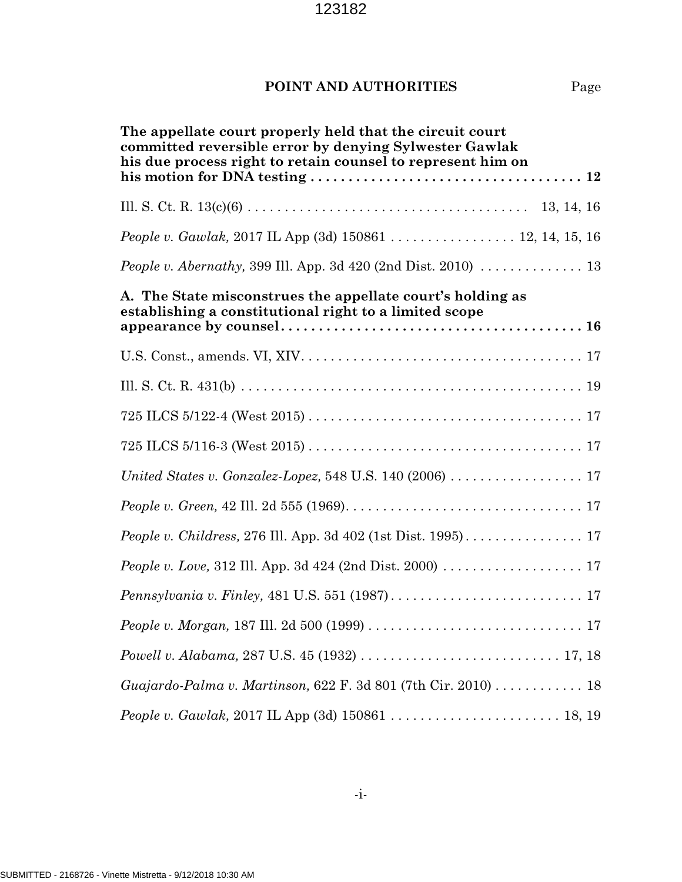## **POINT AND AUTHORITIES** Page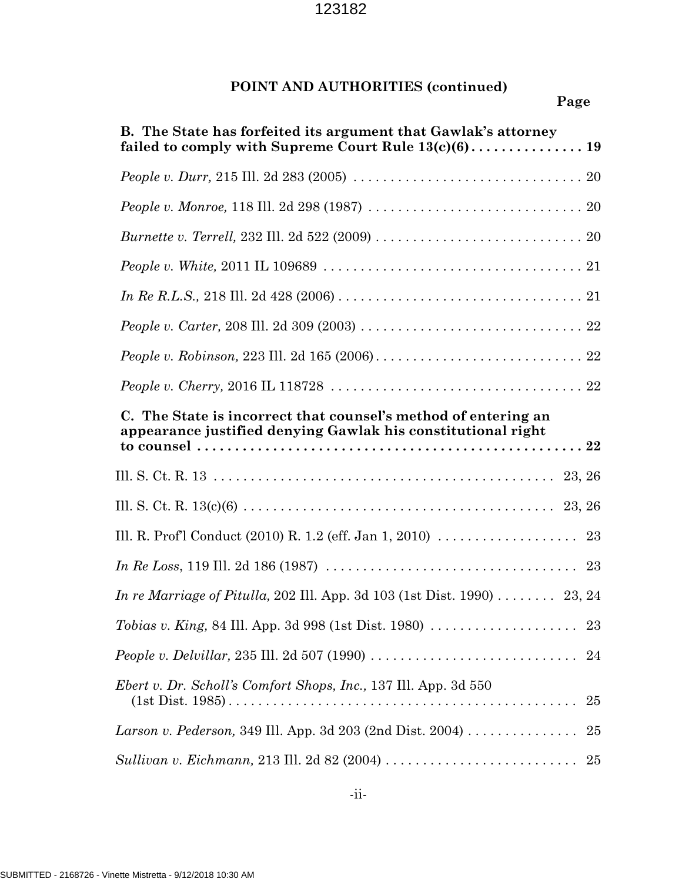# **POINT AND AUTHORITIES (continued)**

| B. The State has forfeited its argument that Gawlak's attorney                                                                 |  |  |
|--------------------------------------------------------------------------------------------------------------------------------|--|--|
|                                                                                                                                |  |  |
| People v. Monroe, 118 Ill. 2d 298 (1987) $\ldots \ldots \ldots \ldots \ldots \ldots \ldots \ldots \ldots \ldots$               |  |  |
|                                                                                                                                |  |  |
|                                                                                                                                |  |  |
|                                                                                                                                |  |  |
|                                                                                                                                |  |  |
|                                                                                                                                |  |  |
|                                                                                                                                |  |  |
| C. The State is incorrect that counsel's method of entering an<br>appearance justified denying Gawlak his constitutional right |  |  |
|                                                                                                                                |  |  |
|                                                                                                                                |  |  |
| Ill. R. Prof'l Conduct (2010) R. 1.2 (eff. Jan 1, 2010) $\ldots \ldots \ldots \ldots \ldots$ 23                                |  |  |
|                                                                                                                                |  |  |
| <i>In re Marriage of Pitulla, 202 III. App. 3d 103 (1st Dist. 1990)</i> 23, 24                                                 |  |  |
|                                                                                                                                |  |  |
| <i>People v. Delvillar,</i> 235 Ill. 2d 507 (1990) $\ldots \ldots \ldots \ldots \ldots \ldots \ldots \ldots \ldots \ldots$ 24  |  |  |
| <i>Ebert v. Dr. Scholl's Comfort Shops, Inc., 137 Ill. App. 3d 550</i><br>25                                                   |  |  |
| <i>Larson v. Pederson,</i> 349 Ill. App. 3d 203 (2nd Dist. 2004) $\ldots \ldots \ldots \ldots$<br>25                           |  |  |
| 25                                                                                                                             |  |  |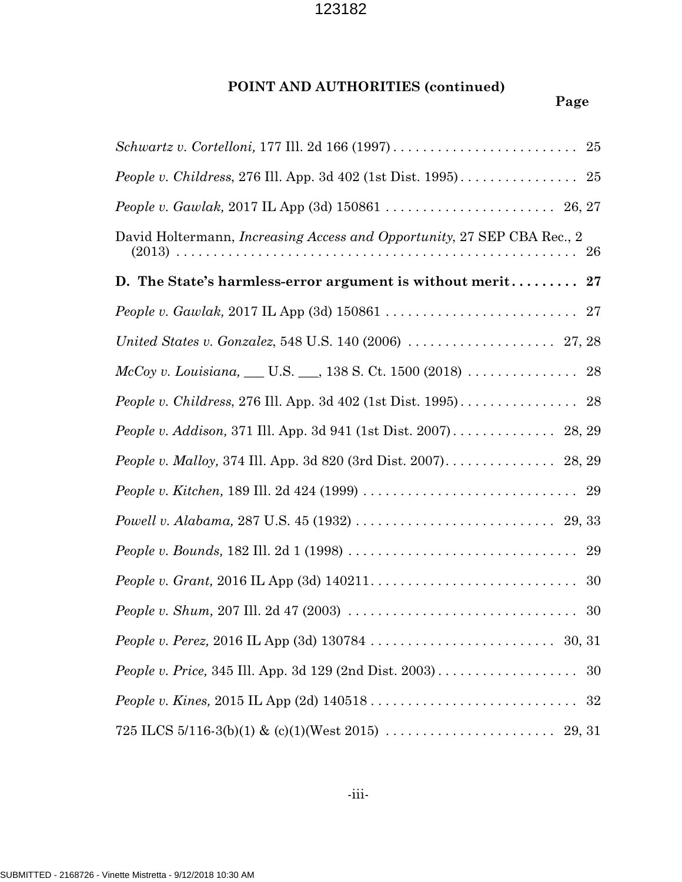# **POINT AND AUTHORITIES (continued)**

| <i>People v. Childress, 276 III. App. 3d 402 (1st Dist. 1995).</i> $\dots \dots \dots \dots \dots$ 25                           |
|---------------------------------------------------------------------------------------------------------------------------------|
|                                                                                                                                 |
| David Holtermann, <i>Increasing Access and Opportunity</i> , 27 SEP CBA Rec., 2                                                 |
| D. The State's harmless-error argument is without merit<br>$\bf{27}$                                                            |
|                                                                                                                                 |
|                                                                                                                                 |
| $McCoy v. Louisiana, \_\_ U.S. \_\_ , 138 S. Ct. 1500 (2018) \dots \dots \dots \dots \dots \ 28$                                |
|                                                                                                                                 |
| <i>People v. Addison, 371 Ill. App. 3d 941 (1st Dist. 2007).</i> 28, 29                                                         |
|                                                                                                                                 |
|                                                                                                                                 |
|                                                                                                                                 |
| <i>People v. Bounds,</i> 182 Ill. 2d 1 (1998) $\ldots \ldots \ldots \ldots \ldots \ldots \ldots \ldots \ldots \ldots \ldots$ 29 |
| 30                                                                                                                              |
|                                                                                                                                 |
|                                                                                                                                 |
|                                                                                                                                 |
|                                                                                                                                 |
|                                                                                                                                 |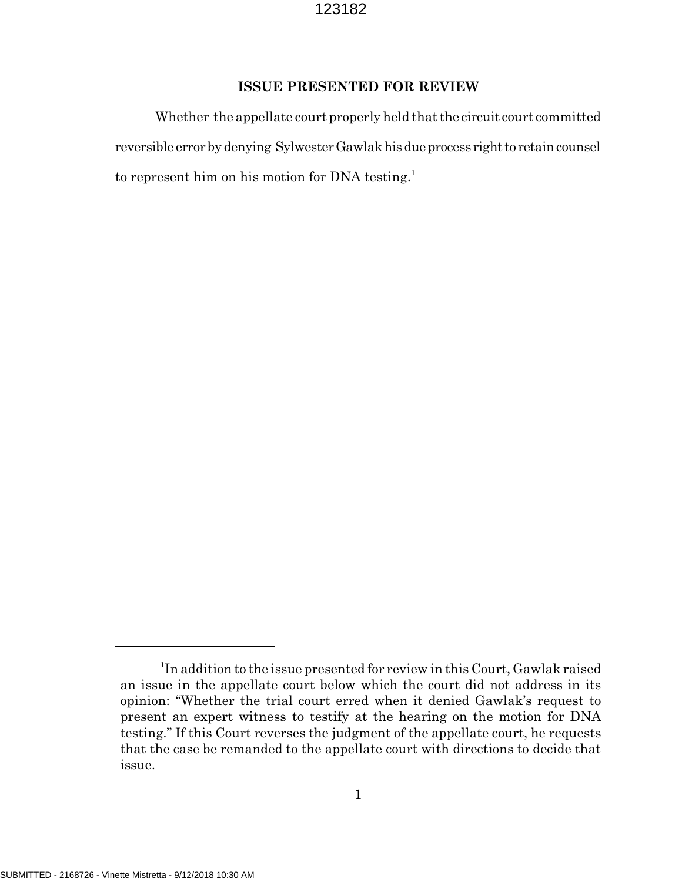#### **ISSUE PRESENTED FOR REVIEW**

Whether the appellate court properly held that the circuit court committed reversible error by denying Sylwester Gawlak his due process right to retain counsel to represent him on his motion for DNA testing.<sup>1</sup>

<sup>&</sup>lt;sup>1</sup>In addition to the issue presented for review in this Court, Gawlak raised an issue in the appellate court below which the court did not address in its opinion: "Whether the trial court erred when it denied Gawlak's request to present an expert witness to testify at the hearing on the motion for DNA testing." If this Court reverses the judgment of the appellate court, he requests that the case be remanded to the appellate court with directions to decide that issue.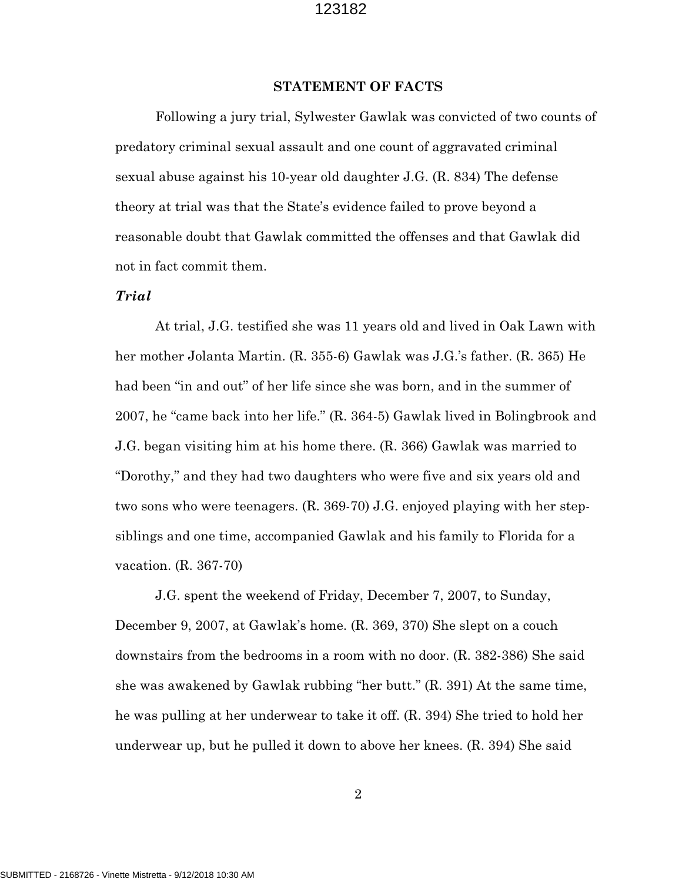#### **STATEMENT OF FACTS**

Following a jury trial, Sylwester Gawlak was convicted of two counts of predatory criminal sexual assault and one count of aggravated criminal sexual abuse against his 10-year old daughter J.G. (R. 834) The defense theory at trial was that the State's evidence failed to prove beyond a reasonable doubt that Gawlak committed the offenses and that Gawlak did not in fact commit them.

### *Trial*

At trial, J.G. testified she was 11 years old and lived in Oak Lawn with her mother Jolanta Martin. (R. 355-6) Gawlak was J.G.'s father. (R. 365) He had been "in and out" of her life since she was born, and in the summer of 2007, he "came back into her life." (R. 364-5) Gawlak lived in Bolingbrook and J.G. began visiting him at his home there. (R. 366) Gawlak was married to "Dorothy," and they had two daughters who were five and six years old and two sons who were teenagers. (R. 369-70) J.G. enjoyed playing with her stepsiblings and one time, accompanied Gawlak and his family to Florida for a vacation. (R. 367-70)

J.G. spent the weekend of Friday, December 7, 2007, to Sunday, December 9, 2007, at Gawlak's home. (R. 369, 370) She slept on a couch downstairs from the bedrooms in a room with no door. (R. 382-386) She said she was awakened by Gawlak rubbing "her butt." (R. 391) At the same time, he was pulling at her underwear to take it off. (R. 394) She tried to hold her underwear up, but he pulled it down to above her knees. (R. 394) She said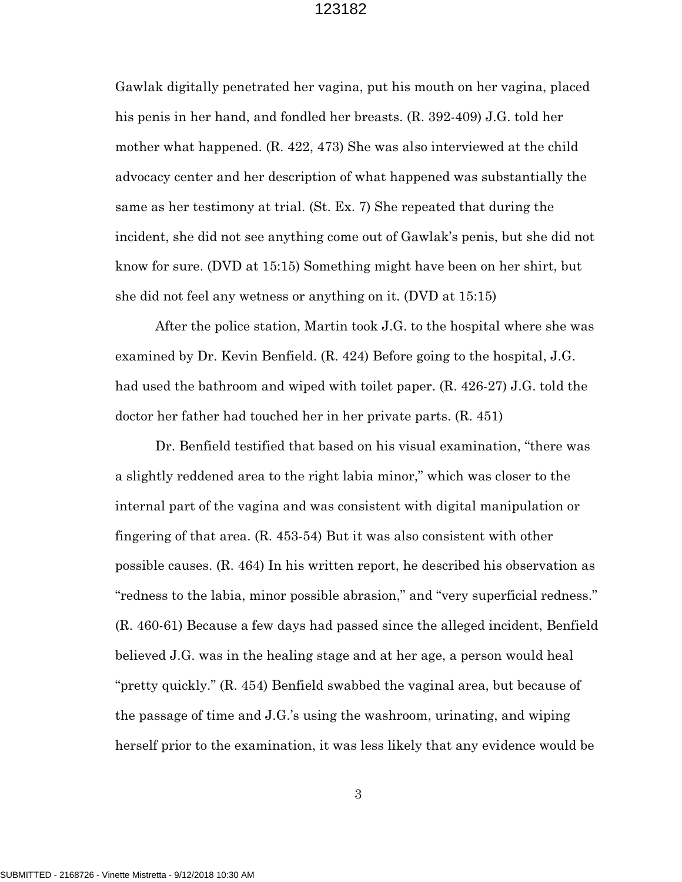Gawlak digitally penetrated her vagina, put his mouth on her vagina, placed his penis in her hand, and fondled her breasts. (R. 392-409) J.G. told her mother what happened. (R. 422, 473) She was also interviewed at the child advocacy center and her description of what happened was substantially the same as her testimony at trial. (St. Ex. 7) She repeated that during the incident, she did not see anything come out of Gawlak's penis, but she did not know for sure. (DVD at 15:15) Something might have been on her shirt, but she did not feel any wetness or anything on it. (DVD at 15:15)

After the police station, Martin took J.G. to the hospital where she was examined by Dr. Kevin Benfield. (R. 424) Before going to the hospital, J.G. had used the bathroom and wiped with toilet paper. (R. 426-27) J.G. told the doctor her father had touched her in her private parts. (R. 451)

Dr. Benfield testified that based on his visual examination, "there was a slightly reddened area to the right labia minor," which was closer to the internal part of the vagina and was consistent with digital manipulation or fingering of that area. (R. 453-54) But it was also consistent with other possible causes. (R. 464) In his written report, he described his observation as "redness to the labia, minor possible abrasion," and "very superficial redness." (R. 460-61) Because a few days had passed since the alleged incident, Benfield believed J.G. was in the healing stage and at her age, a person would heal "pretty quickly." (R. 454) Benfield swabbed the vaginal area, but because of the passage of time and J.G.'s using the washroom, urinating, and wiping herself prior to the examination, it was less likely that any evidence would be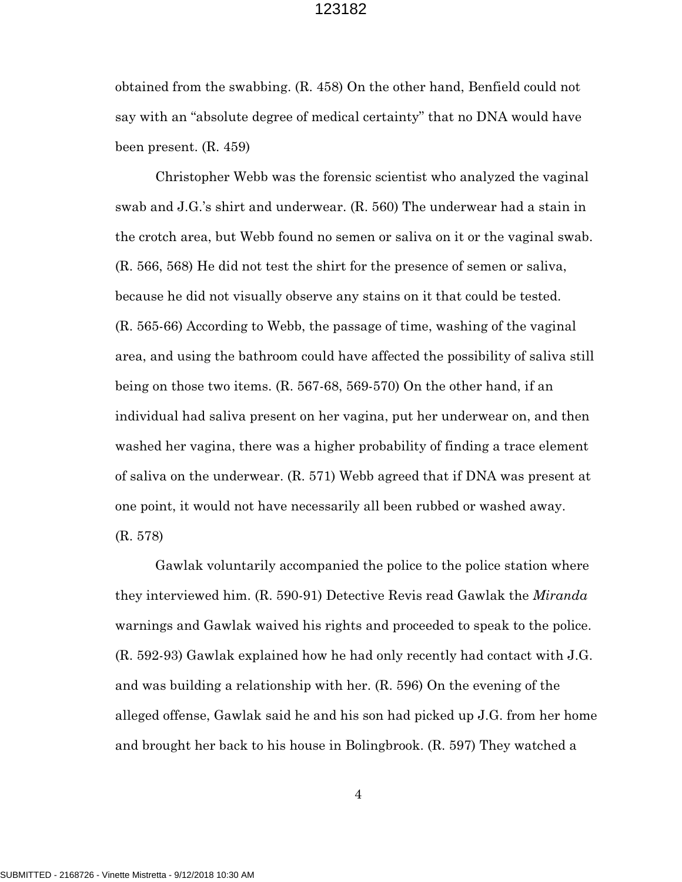obtained from the swabbing. (R. 458) On the other hand, Benfield could not say with an "absolute degree of medical certainty" that no DNA would have been present. (R. 459)

Christopher Webb was the forensic scientist who analyzed the vaginal swab and J.G.'s shirt and underwear. (R. 560) The underwear had a stain in the crotch area, but Webb found no semen or saliva on it or the vaginal swab. (R. 566, 568) He did not test the shirt for the presence of semen or saliva, because he did not visually observe any stains on it that could be tested. (R. 565-66) According to Webb, the passage of time, washing of the vaginal area, and using the bathroom could have affected the possibility of saliva still being on those two items. (R. 567-68, 569-570) On the other hand, if an individual had saliva present on her vagina, put her underwear on, and then washed her vagina, there was a higher probability of finding a trace element of saliva on the underwear. (R. 571) Webb agreed that if DNA was present at one point, it would not have necessarily all been rubbed or washed away. (R. 578)

Gawlak voluntarily accompanied the police to the police station where they interviewed him. (R. 590-91) Detective Revis read Gawlak the *Miranda* warnings and Gawlak waived his rights and proceeded to speak to the police. (R. 592-93) Gawlak explained how he had only recently had contact with J.G. and was building a relationship with her. (R. 596) On the evening of the alleged offense, Gawlak said he and his son had picked up J.G. from her home and brought her back to his house in Bolingbrook. (R. 597) They watched a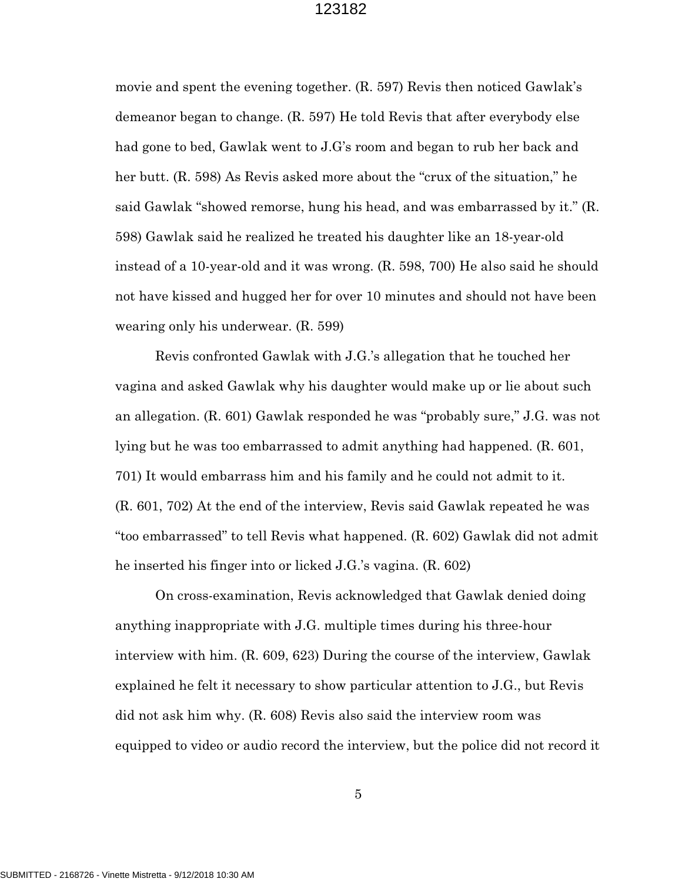movie and spent the evening together. (R. 597) Revis then noticed Gawlak's demeanor began to change. (R. 597) He told Revis that after everybody else had gone to bed, Gawlak went to J.G's room and began to rub her back and her butt. (R. 598) As Revis asked more about the "crux of the situation," he said Gawlak "showed remorse, hung his head, and was embarrassed by it." (R. 598) Gawlak said he realized he treated his daughter like an 18-year-old instead of a 10-year-old and it was wrong. (R. 598, 700) He also said he should not have kissed and hugged her for over 10 minutes and should not have been wearing only his underwear. (R. 599)

Revis confronted Gawlak with J.G.'s allegation that he touched her vagina and asked Gawlak why his daughter would make up or lie about such an allegation. (R. 601) Gawlak responded he was "probably sure," J.G. was not lying but he was too embarrassed to admit anything had happened. (R. 601, 701) It would embarrass him and his family and he could not admit to it. (R. 601, 702) At the end of the interview, Revis said Gawlak repeated he was "too embarrassed" to tell Revis what happened. (R. 602) Gawlak did not admit he inserted his finger into or licked J.G.'s vagina. (R. 602)

On cross-examination, Revis acknowledged that Gawlak denied doing anything inappropriate with J.G. multiple times during his three-hour interview with him. (R. 609, 623) During the course of the interview, Gawlak explained he felt it necessary to show particular attention to J.G., but Revis did not ask him why. (R. 608) Revis also said the interview room was equipped to video or audio record the interview, but the police did not record it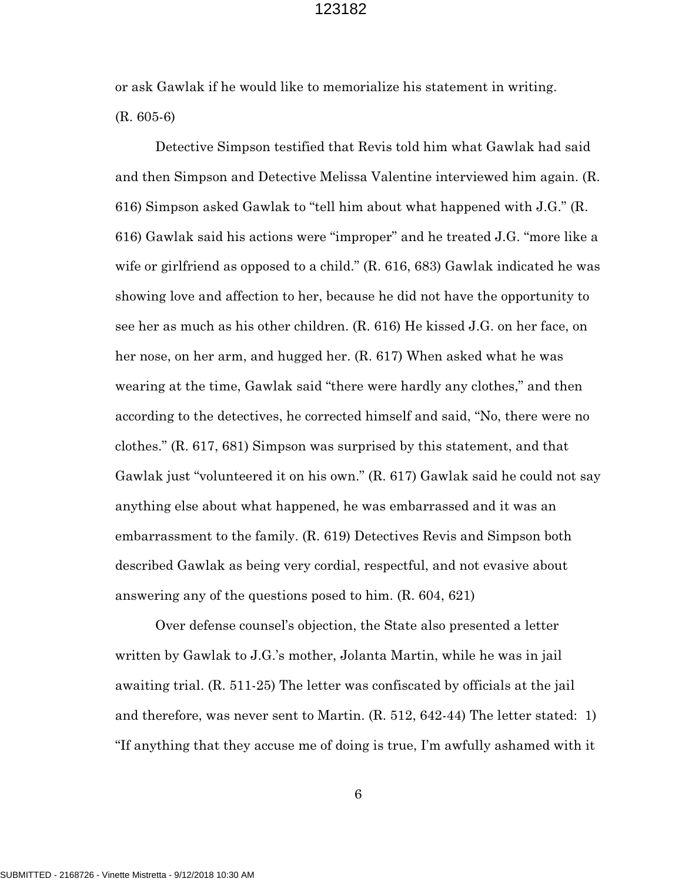or ask Gawlak if he would like to memorialize his statement in writing. (R. 605-6)

Detective Simpson testified that Revis told him what Gawlak had said and then Simpson and Detective Melissa Valentine interviewed him again. (R. 616) Simpson asked Gawlak to "tell him about what happened with J.G." (R. 616) Gawlak said his actions were "improper" and he treated J.G. "more like a wife or girlfriend as opposed to a child." (R. 616, 683) Gawlak indicated he was showing love and affection to her, because he did not have the opportunity to see her as much as his other children. (R. 616) He kissed J.G. on her face, on her nose, on her arm, and hugged her. (R. 617) When asked what he was wearing at the time, Gawlak said "there were hardly any clothes," and then according to the detectives, he corrected himself and said, "No, there were no clothes." (R. 617, 681) Simpson was surprised by this statement, and that Gawlak just "volunteered it on his own." (R. 617) Gawlak said he could not say anything else about what happened, he was embarrassed and it was an embarrassment to the family. (R. 619) Detectives Revis and Simpson both described Gawlak as being very cordial, respectful, and not evasive about answering any of the questions posed to him. (R. 604, 621)

Over defense counsel's objection, the State also presented a letter written by Gawlak to J.G.'s mother, Jolanta Martin, while he was in jail awaiting trial. (R. 511-25) The letter was confiscated by officials at the jail and therefore, was never sent to Martin. (R. 512, 642-44) The letter stated: 1) "If anything that they accuse me of doing is true, I'm awfully ashamed with it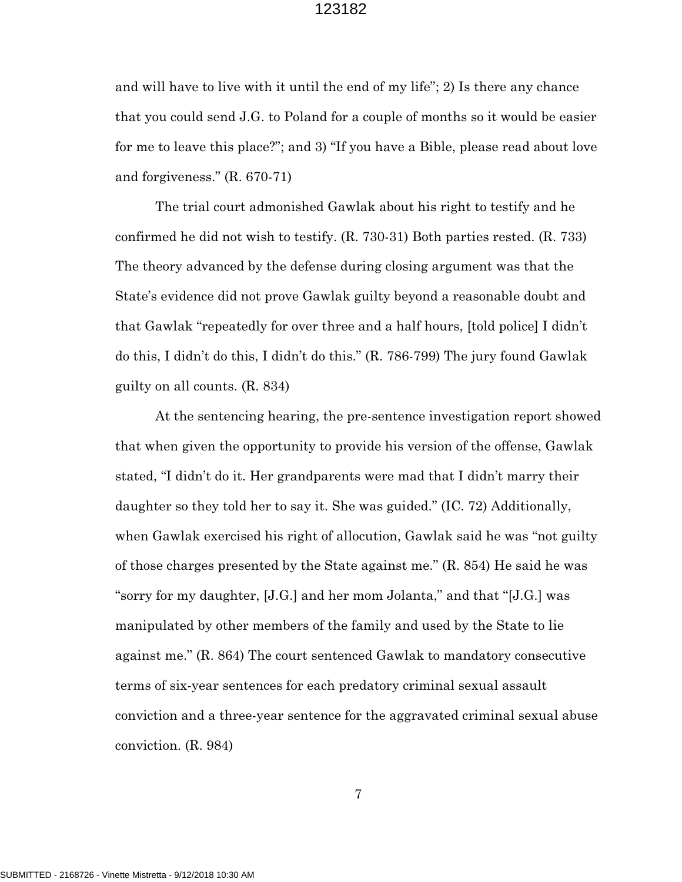and will have to live with it until the end of my life"; 2) Is there any chance that you could send J.G. to Poland for a couple of months so it would be easier for me to leave this place?"; and 3) "If you have a Bible, please read about love and forgiveness." (R. 670-71)

The trial court admonished Gawlak about his right to testify and he confirmed he did not wish to testify. (R. 730-31) Both parties rested. (R. 733) The theory advanced by the defense during closing argument was that the State's evidence did not prove Gawlak guilty beyond a reasonable doubt and that Gawlak "repeatedly for over three and a half hours, [told police] I didn't do this, I didn't do this, I didn't do this." (R. 786-799) The jury found Gawlak guilty on all counts. (R. 834)

At the sentencing hearing, the pre-sentence investigation report showed that when given the opportunity to provide his version of the offense, Gawlak stated, "I didn't do it. Her grandparents were mad that I didn't marry their daughter so they told her to say it. She was guided." (IC. 72) Additionally, when Gawlak exercised his right of allocution, Gawlak said he was "not guilty of those charges presented by the State against me." (R. 854) He said he was "sorry for my daughter, [J.G.] and her mom Jolanta," and that "[J.G.] was manipulated by other members of the family and used by the State to lie against me." (R. 864) The court sentenced Gawlak to mandatory consecutive terms of six-year sentences for each predatory criminal sexual assault conviction and a three-year sentence for the aggravated criminal sexual abuse conviction. (R. 984)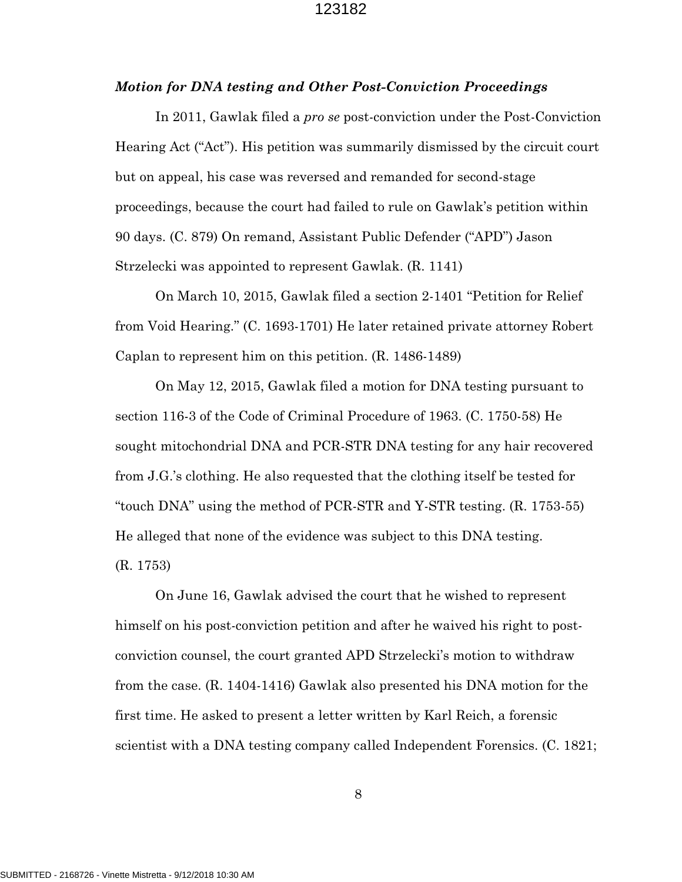#### *Motion for DNA testing and Other Post-Conviction Proceedings*

In 2011, Gawlak filed a *pro se* post-conviction under the Post-Conviction Hearing Act ("Act"). His petition was summarily dismissed by the circuit court but on appeal, his case was reversed and remanded for second-stage proceedings, because the court had failed to rule on Gawlak's petition within 90 days. (C. 879) On remand, Assistant Public Defender ("APD") Jason Strzelecki was appointed to represent Gawlak. (R. 1141)

On March 10, 2015, Gawlak filed a section 2-1401 "Petition for Relief from Void Hearing." (C. 1693-1701) He later retained private attorney Robert Caplan to represent him on this petition. (R. 1486-1489)

On May 12, 2015, Gawlak filed a motion for DNA testing pursuant to section 116-3 of the Code of Criminal Procedure of 1963. (C. 1750-58) He sought mitochondrial DNA and PCR-STR DNA testing for any hair recovered from J.G.'s clothing. He also requested that the clothing itself be tested for "touch DNA" using the method of PCR-STR and Y-STR testing. (R. 1753-55) He alleged that none of the evidence was subject to this DNA testing. (R. 1753)

On June 16, Gawlak advised the court that he wished to represent himself on his post-conviction petition and after he waived his right to postconviction counsel, the court granted APD Strzelecki's motion to withdraw from the case. (R. 1404-1416) Gawlak also presented his DNA motion for the first time. He asked to present a letter written by Karl Reich, a forensic scientist with a DNA testing company called Independent Forensics. (C. 1821;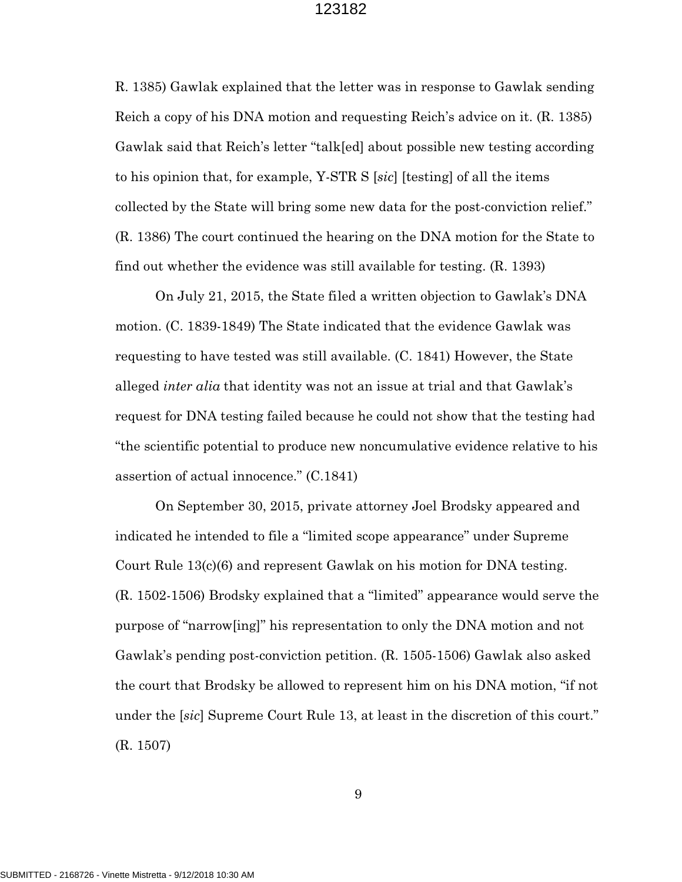R. 1385) Gawlak explained that the letter was in response to Gawlak sending Reich a copy of his DNA motion and requesting Reich's advice on it. (R. 1385) Gawlak said that Reich's letter "talk[ed] about possible new testing according to his opinion that, for example, Y-STR S [*sic*] [testing] of all the items collected by the State will bring some new data for the post-conviction relief." (R. 1386) The court continued the hearing on the DNA motion for the State to find out whether the evidence was still available for testing. (R. 1393)

On July 21, 2015, the State filed a written objection to Gawlak's DNA motion. (C. 1839-1849) The State indicated that the evidence Gawlak was requesting to have tested was still available. (C. 1841) However, the State alleged *inter alia* that identity was not an issue at trial and that Gawlak's request for DNA testing failed because he could not show that the testing had "the scientific potential to produce new noncumulative evidence relative to his assertion of actual innocence." (C.1841)

On September 30, 2015, private attorney Joel Brodsky appeared and indicated he intended to file a "limited scope appearance" under Supreme Court Rule 13(c)(6) and represent Gawlak on his motion for DNA testing. (R. 1502-1506) Brodsky explained that a "limited" appearance would serve the purpose of "narrow[ing]" his representation to only the DNA motion and not Gawlak's pending post-conviction petition. (R. 1505-1506) Gawlak also asked the court that Brodsky be allowed to represent him on his DNA motion, "if not under the [*sic*] Supreme Court Rule 13, at least in the discretion of this court." (R. 1507)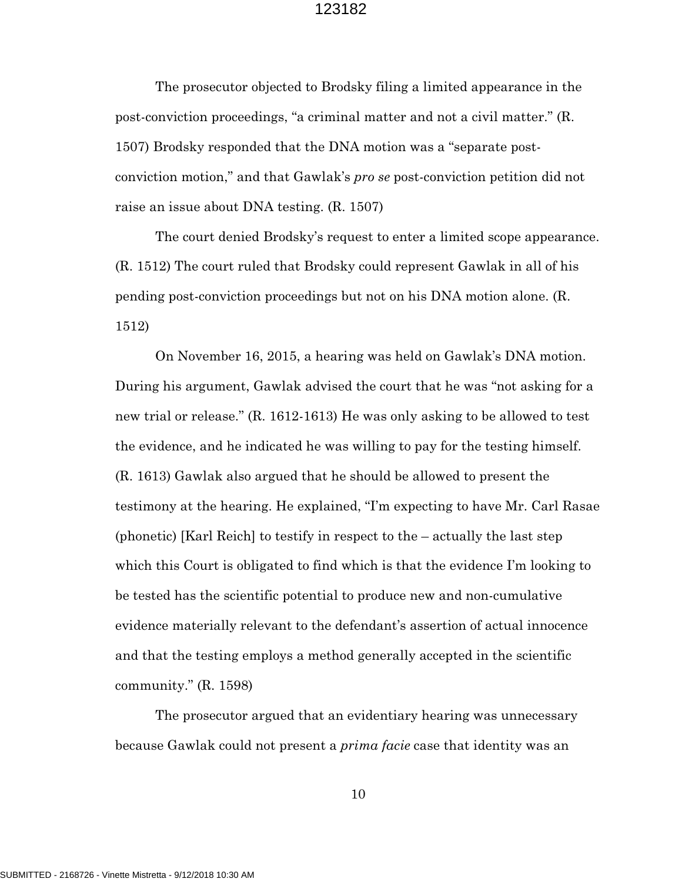The prosecutor objected to Brodsky filing a limited appearance in the post-conviction proceedings, "a criminal matter and not a civil matter." (R. 1507) Brodsky responded that the DNA motion was a "separate postconviction motion," and that Gawlak's *pro se* post-conviction petition did not raise an issue about DNA testing. (R. 1507)

The court denied Brodsky's request to enter a limited scope appearance. (R. 1512) The court ruled that Brodsky could represent Gawlak in all of his pending post-conviction proceedings but not on his DNA motion alone. (R. 1512)

On November 16, 2015, a hearing was held on Gawlak's DNA motion. During his argument, Gawlak advised the court that he was "not asking for a new trial or release." (R. 1612-1613) He was only asking to be allowed to test the evidence, and he indicated he was willing to pay for the testing himself. (R. 1613) Gawlak also argued that he should be allowed to present the testimony at the hearing. He explained, "I'm expecting to have Mr. Carl Rasae (phonetic) [Karl Reich] to testify in respect to the – actually the last step which this Court is obligated to find which is that the evidence I'm looking to be tested has the scientific potential to produce new and non-cumulative evidence materially relevant to the defendant's assertion of actual innocence and that the testing employs a method generally accepted in the scientific community." (R. 1598)

The prosecutor argued that an evidentiary hearing was unnecessary because Gawlak could not present a *prima facie* case that identity was an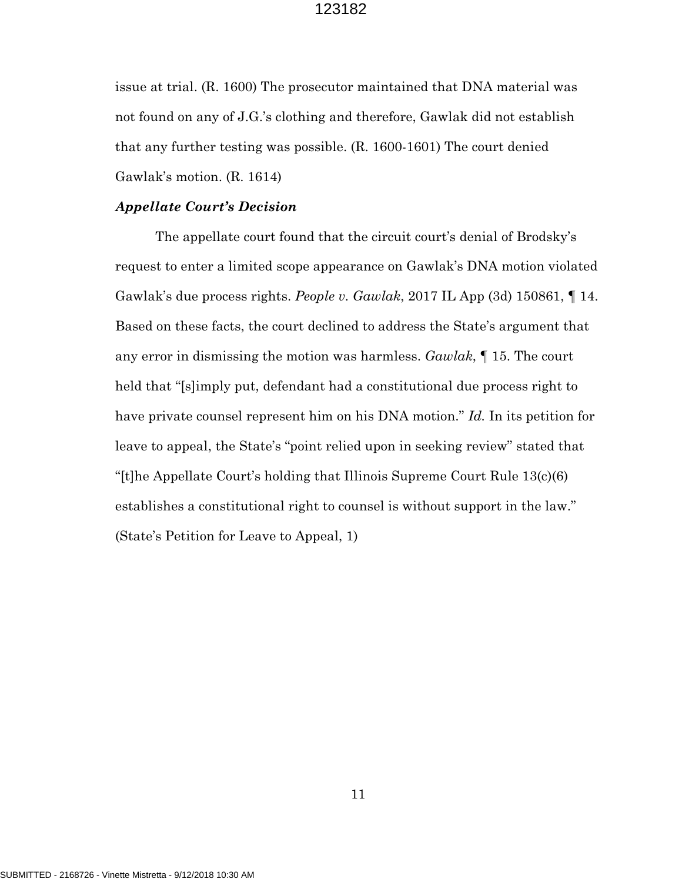issue at trial. (R. 1600) The prosecutor maintained that DNA material was not found on any of J.G.'s clothing and therefore, Gawlak did not establish that any further testing was possible. (R. 1600-1601) The court denied Gawlak's motion. (R. 1614)

#### *Appellate Court's Decision*

The appellate court found that the circuit court's denial of Brodsky's request to enter a limited scope appearance on Gawlak's DNA motion violated Gawlak's due process rights. *People v. Gawlak*, 2017 IL App (3d) 150861, ¶ 14. Based on these facts, the court declined to address the State's argument that any error in dismissing the motion was harmless. *Gawlak*, ¶ 15. The court held that "[s]imply put, defendant had a constitutional due process right to have private counsel represent him on his DNA motion." *Id.* In its petition for leave to appeal, the State's "point relied upon in seeking review" stated that "[t]he Appellate Court's holding that Illinois Supreme Court Rule 13(c)(6) establishes a constitutional right to counsel is without support in the law." (State's Petition for Leave to Appeal, 1)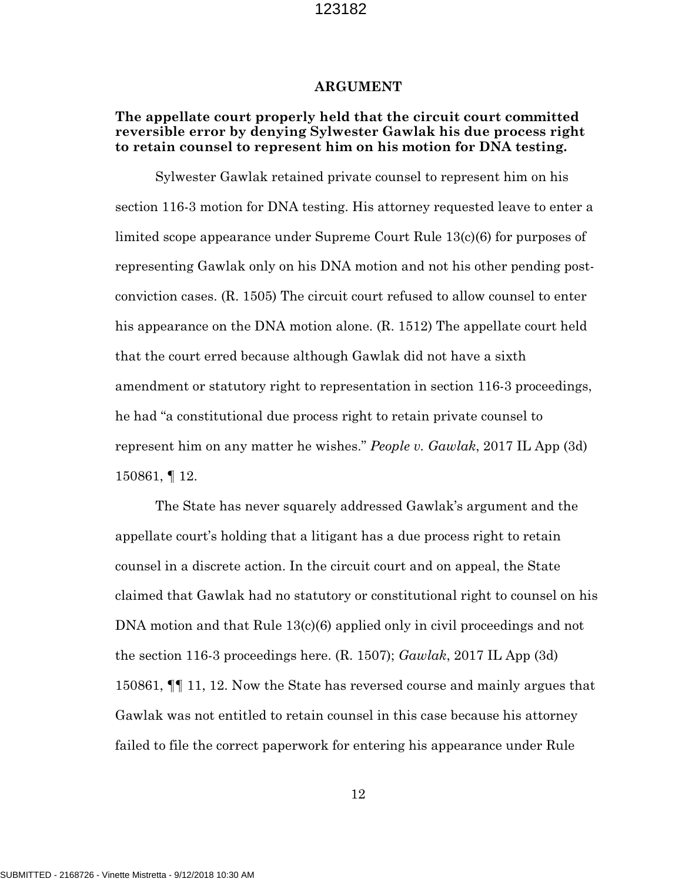#### **ARGUMENT**

## **The appellate court properly held that the circuit court committed reversible error by denying Sylwester Gawlak his due process right to retain counsel to represent him on his motion for DNA testing.**

Sylwester Gawlak retained private counsel to represent him on his section 116-3 motion for DNA testing. His attorney requested leave to enter a limited scope appearance under Supreme Court Rule 13(c)(6) for purposes of representing Gawlak only on his DNA motion and not his other pending postconviction cases. (R. 1505) The circuit court refused to allow counsel to enter his appearance on the DNA motion alone. (R. 1512) The appellate court held that the court erred because although Gawlak did not have a sixth amendment or statutory right to representation in section 116-3 proceedings, he had "a constitutional due process right to retain private counsel to represent him on any matter he wishes." *People v. Gawlak*, 2017 IL App (3d) 150861, ¶ 12.

The State has never squarely addressed Gawlak's argument and the appellate court's holding that a litigant has a due process right to retain counsel in a discrete action. In the circuit court and on appeal, the State claimed that Gawlak had no statutory or constitutional right to counsel on his DNA motion and that Rule 13(c)(6) applied only in civil proceedings and not the section 116-3 proceedings here. (R. 1507); *Gawlak*, 2017 IL App (3d) 150861, ¶¶ 11, 12. Now the State has reversed course and mainly argues that Gawlak was not entitled to retain counsel in this case because his attorney failed to file the correct paperwork for entering his appearance under Rule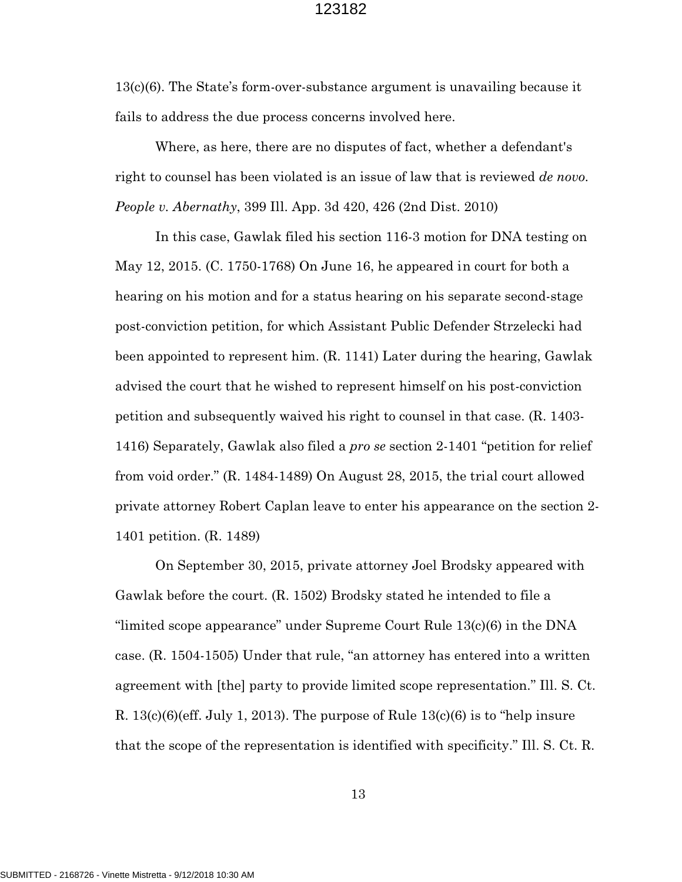13(c)(6). The State's form-over-substance argument is unavailing because it fails to address the due process concerns involved here.

Where, as here, there are no disputes of fact, whether a defendant's right to counsel has been violated is an issue of law that is reviewed *de novo. People v. Abernathy*, 399 Ill. App. 3d 420, 426 (2nd Dist. 2010)

In this case, Gawlak filed his section 116-3 motion for DNA testing on May 12, 2015. (C. 1750-1768) On June 16, he appeared in court for both a hearing on his motion and for a status hearing on his separate second-stage post-conviction petition, for which Assistant Public Defender Strzelecki had been appointed to represent him. (R. 1141) Later during the hearing, Gawlak advised the court that he wished to represent himself on his post-conviction petition and subsequently waived his right to counsel in that case. (R. 1403- 1416) Separately, Gawlak also filed a *pro se* section 2-1401 "petition for relief from void order." (R. 1484-1489) On August 28, 2015, the trial court allowed private attorney Robert Caplan leave to enter his appearance on the section 2- 1401 petition. (R. 1489)

On September 30, 2015, private attorney Joel Brodsky appeared with Gawlak before the court. (R. 1502) Brodsky stated he intended to file a "limited scope appearance" under Supreme Court Rule 13(c)(6) in the DNA case. (R. 1504-1505) Under that rule, "an attorney has entered into a written agreement with [the] party to provide limited scope representation." Ill. S. Ct. R.  $13(c)(6)(eff. July 1, 2013)$ . The purpose of Rule  $13(c)(6)$  is to "help insure that the scope of the representation is identified with specificity." Ill. S. Ct. R.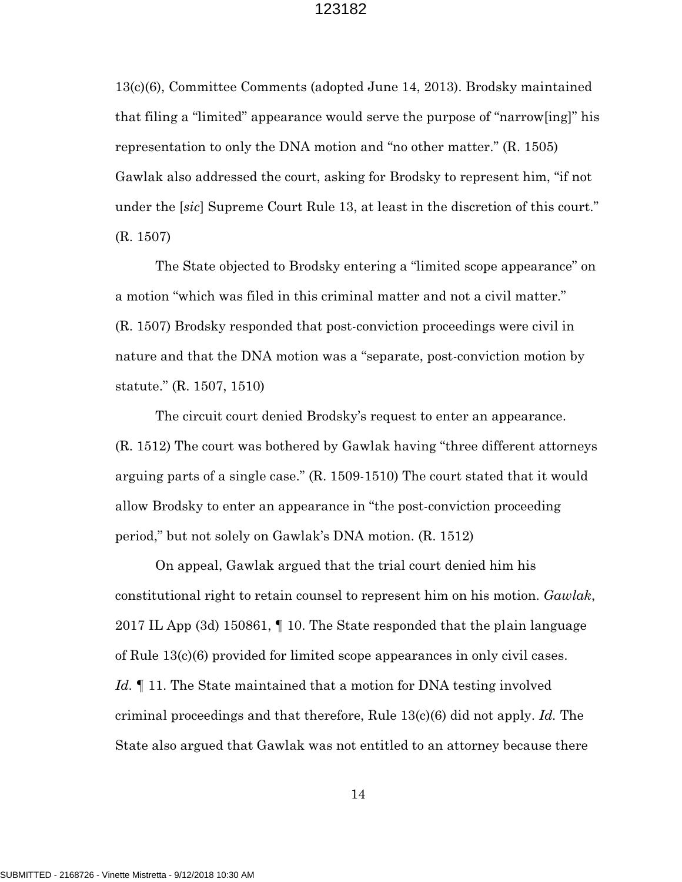13(c)(6), Committee Comments (adopted June 14, 2013). Brodsky maintained that filing a "limited" appearance would serve the purpose of "narrow[ing]" his representation to only the DNA motion and "no other matter." (R. 1505) Gawlak also addressed the court, asking for Brodsky to represent him, "if not under the [*sic*] Supreme Court Rule 13, at least in the discretion of this court." (R. 1507)

The State objected to Brodsky entering a "limited scope appearance" on a motion "which was filed in this criminal matter and not a civil matter." (R. 1507) Brodsky responded that post-conviction proceedings were civil in nature and that the DNA motion was a "separate, post-conviction motion by statute." (R. 1507, 1510)

The circuit court denied Brodsky's request to enter an appearance. (R. 1512) The court was bothered by Gawlak having "three different attorneys arguing parts of a single case." (R. 1509-1510) The court stated that it would allow Brodsky to enter an appearance in "the post-conviction proceeding period," but not solely on Gawlak's DNA motion. (R. 1512)

On appeal, Gawlak argued that the trial court denied him his constitutional right to retain counsel to represent him on his motion. *Gawlak*, 2017 IL App (3d) 150861, ¶ 10. The State responded that the plain language of Rule 13(c)(6) provided for limited scope appearances in only civil cases. Id. If 11. The State maintained that a motion for DNA testing involved criminal proceedings and that therefore, Rule 13(c)(6) did not apply. *Id.* The State also argued that Gawlak was not entitled to an attorney because there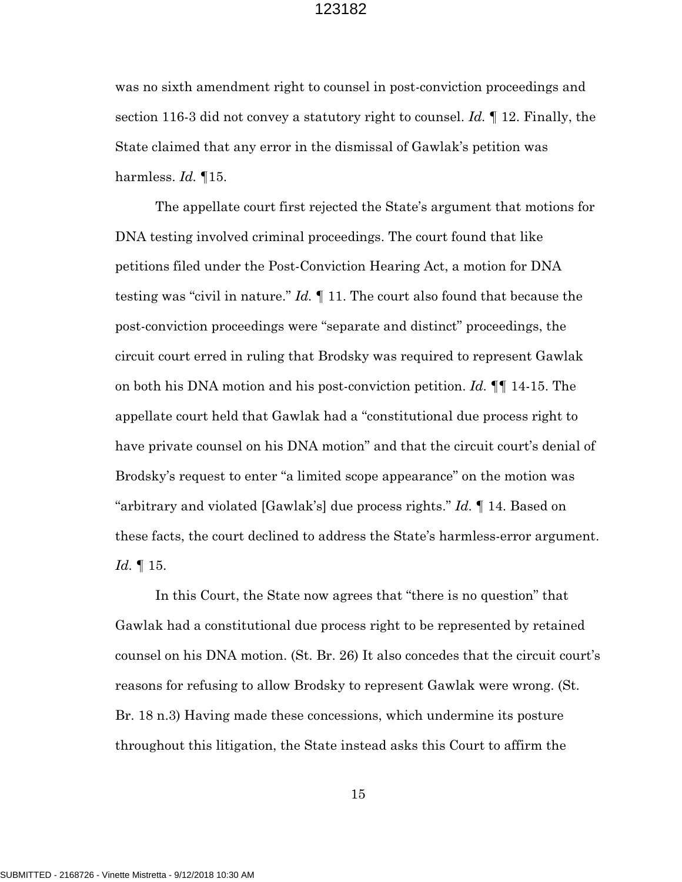was no sixth amendment right to counsel in post-conviction proceedings and section 116-3 did not convey a statutory right to counsel. *Id.* ¶ 12. Finally, the State claimed that any error in the dismissal of Gawlak's petition was harmless. *Id.* ¶15.

The appellate court first rejected the State's argument that motions for DNA testing involved criminal proceedings. The court found that like petitions filed under the Post-Conviction Hearing Act, a motion for DNA testing was "civil in nature." *Id.* ¶ 11. The court also found that because the post-conviction proceedings were "separate and distinct" proceedings, the circuit court erred in ruling that Brodsky was required to represent Gawlak on both his DNA motion and his post-conviction petition. *Id.* ¶¶ 14-15. The appellate court held that Gawlak had a "constitutional due process right to have private counsel on his DNA motion" and that the circuit court's denial of Brodsky's request to enter "a limited scope appearance" on the motion was "arbitrary and violated [Gawlak's] due process rights." *Id.* ¶ 14. Based on these facts, the court declined to address the State's harmless-error argument. *Id.* ¶ 15.

In this Court, the State now agrees that "there is no question" that Gawlak had a constitutional due process right to be represented by retained counsel on his DNA motion. (St. Br. 26) It also concedes that the circuit court's reasons for refusing to allow Brodsky to represent Gawlak were wrong. (St. Br. 18 n.3) Having made these concessions, which undermine its posture throughout this litigation, the State instead asks this Court to affirm the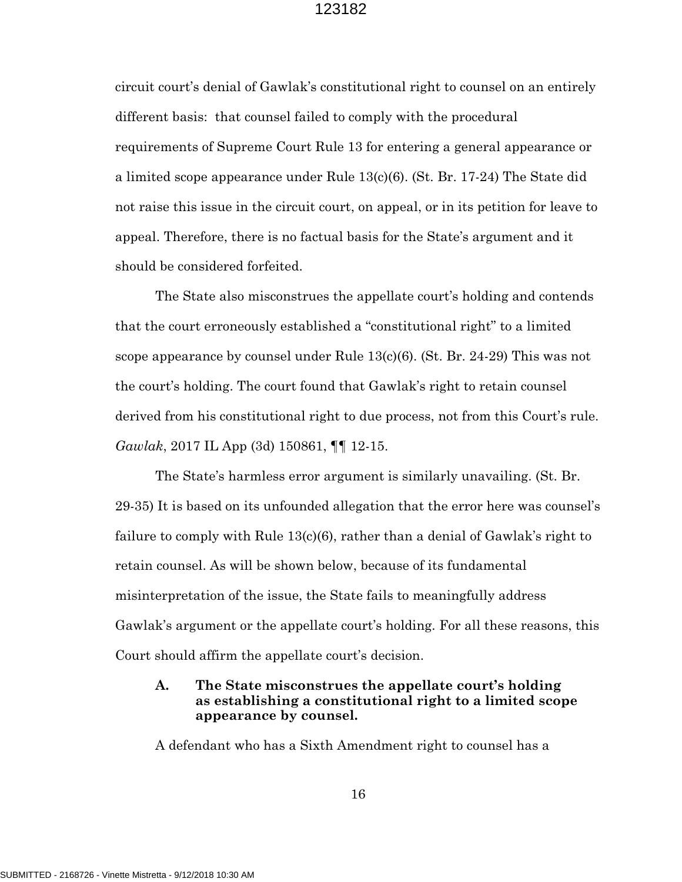circuit court's denial of Gawlak's constitutional right to counsel on an entirely different basis: that counsel failed to comply with the procedural requirements of Supreme Court Rule 13 for entering a general appearance or a limited scope appearance under Rule 13(c)(6). (St. Br. 17-24) The State did not raise this issue in the circuit court, on appeal, or in its petition for leave to appeal. Therefore, there is no factual basis for the State's argument and it should be considered forfeited.

The State also misconstrues the appellate court's holding and contends that the court erroneously established a "constitutional right" to a limited scope appearance by counsel under Rule 13(c)(6). (St. Br. 24-29) This was not the court's holding. The court found that Gawlak's right to retain counsel derived from his constitutional right to due process, not from this Court's rule. *Gawlak*, 2017 IL App (3d) 150861, ¶¶ 12-15.

The State's harmless error argument is similarly unavailing. (St. Br. 29-35) It is based on its unfounded allegation that the error here was counsel's failure to comply with Rule 13(c)(6), rather than a denial of Gawlak's right to retain counsel. As will be shown below, because of its fundamental misinterpretation of the issue, the State fails to meaningfully address Gawlak's argument or the appellate court's holding. For all these reasons, this Court should affirm the appellate court's decision.

## **A. The State misconstrues the appellate court's holding as establishing a constitutional right to a limited scope appearance by counsel.**

A defendant who has a Sixth Amendment right to counsel has a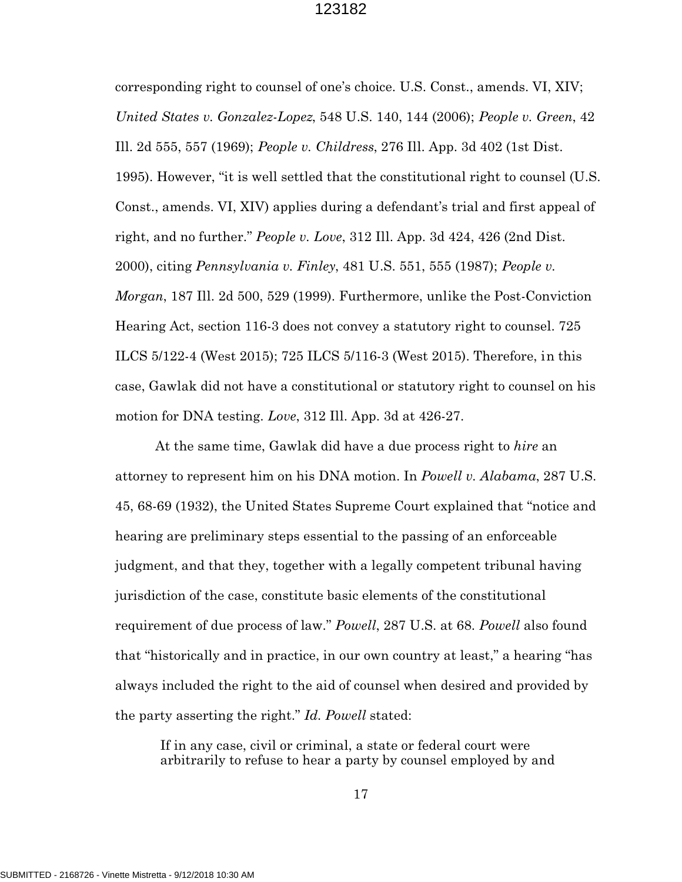corresponding right to counsel of one's choice. U.S. Const., amends. VI, XIV; *United States v. Gonzalez-Lopez*, 548 U.S. 140, 144 (2006); *People v. Green*, 42 Ill. 2d 555, 557 (1969); *People v. Childress*, 276 Ill. App. 3d 402 (1st Dist. 1995). However, "it is well settled that the constitutional right to counsel (U.S. Const., amends. VI, XIV) applies during a defendant's trial and first appeal of right, and no further." *People v. Love*, 312 Ill. App. 3d 424, 426 (2nd Dist. 2000), citing *Pennsylvania v. Finley*, 481 U.S. 551, 555 (1987); *People v. Morgan*, 187 Ill. 2d 500, 529 (1999). Furthermore, unlike the Post-Conviction Hearing Act, section 116-3 does not convey a statutory right to counsel. 725 ILCS 5/122-4 (West 2015); 725 ILCS 5/116-3 (West 2015). Therefore, in this case, Gawlak did not have a constitutional or statutory right to counsel on his motion for DNA testing. *Love*, 312 Ill. App. 3d at 426-27.

At the same time, Gawlak did have a due process right to *hire* an attorney to represent him on his DNA motion. In *Powell v. Alabama*, 287 U.S. 45, 68-69 (1932), the United States Supreme Court explained that "notice and hearing are preliminary steps essential to the passing of an enforceable judgment, and that they, together with a legally competent tribunal having jurisdiction of the case, constitute basic elements of the constitutional requirement of due process of law." *Powell*, 287 U.S. at 68. *Powell* also found that "historically and in practice, in our own country at least," a hearing "has always included the right to the aid of counsel when desired and provided by the party asserting the right." *Id. Powell* stated:

If in any case, civil or criminal, a state or federal court were arbitrarily to refuse to hear a party by counsel employed by and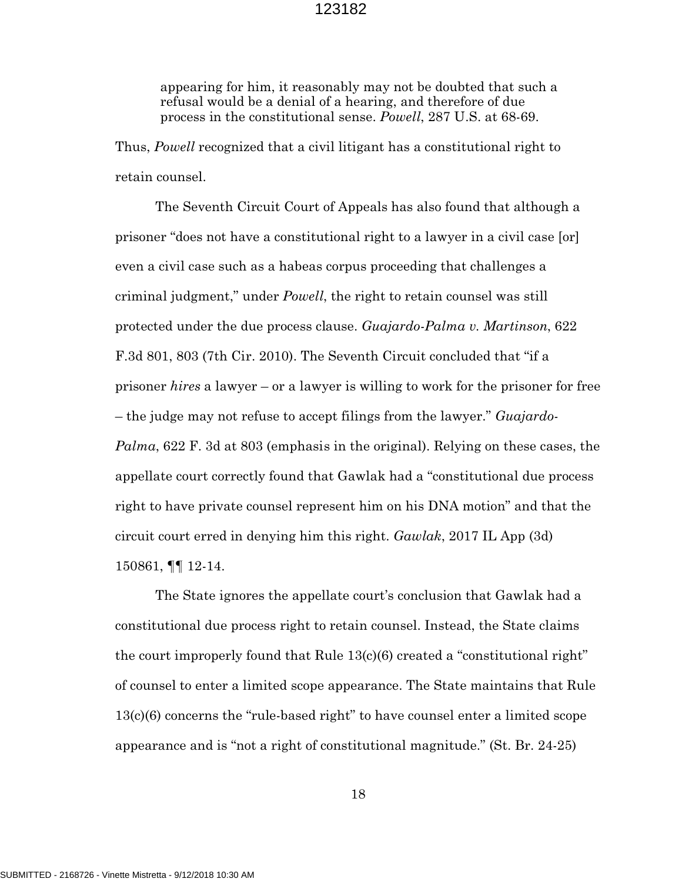appearing for him, it reasonably may not be doubted that such a refusal would be a denial of a hearing, and therefore of due process in the constitutional sense. *Powell*, 287 U.S. at 68-69.

Thus, *Powell* recognized that a civil litigant has a constitutional right to retain counsel.

The Seventh Circuit Court of Appeals has also found that although a prisoner "does not have a constitutional right to a lawyer in a civil case [or] even a civil case such as a habeas corpus proceeding that challenges a criminal judgment," under *Powell*, the right to retain counsel was still protected under the due process clause. *Guajardo-Palma v. Martinson*, 622 F.3d 801, 803 (7th Cir. 2010). The Seventh Circuit concluded that "if a prisoner *hires* a lawyer – or a lawyer is willing to work for the prisoner for free – the judge may not refuse to accept filings from the lawyer." *Guajardo-Palma*, 622 F. 3d at 803 (emphasis in the original). Relying on these cases, the appellate court correctly found that Gawlak had a "constitutional due process right to have private counsel represent him on his DNA motion" and that the circuit court erred in denying him this right. *Gawlak*, 2017 IL App (3d) 150861, ¶¶ 12-14.

The State ignores the appellate court's conclusion that Gawlak had a constitutional due process right to retain counsel. Instead, the State claims the court improperly found that Rule 13(c)(6) created a "constitutional right" of counsel to enter a limited scope appearance. The State maintains that Rule 13(c)(6) concerns the "rule-based right" to have counsel enter a limited scope appearance and is "not a right of constitutional magnitude." (St. Br. 24-25)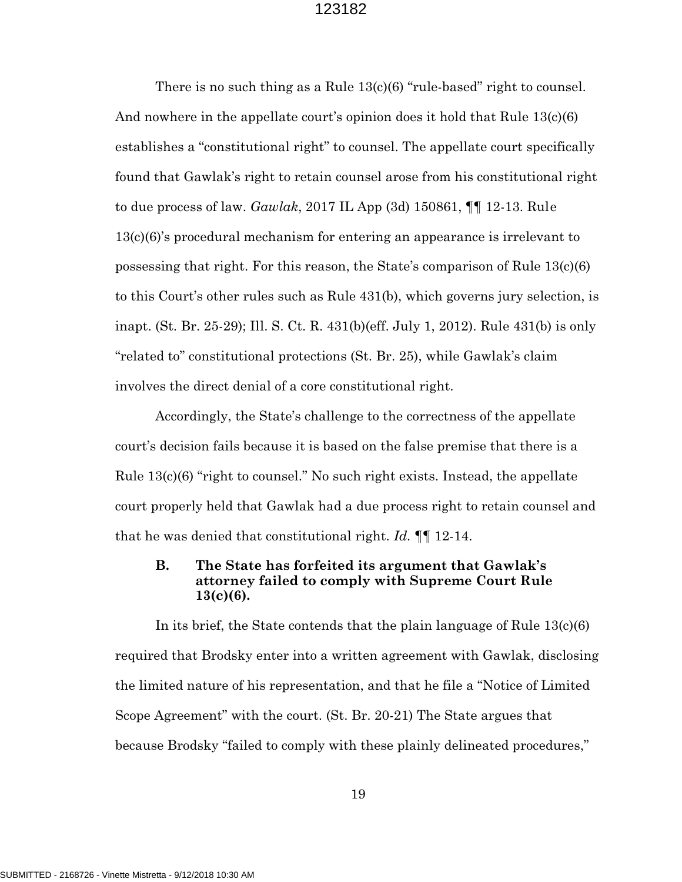There is no such thing as a Rule  $13(c)(6)$  "rule-based" right to counsel. And nowhere in the appellate court's opinion does it hold that Rule 13(c)(6) establishes a "constitutional right" to counsel. The appellate court specifically found that Gawlak's right to retain counsel arose from his constitutional right to due process of law. *Gawlak*, 2017 IL App (3d) 150861, ¶¶ 12-13. Rule 13(c)(6)'s procedural mechanism for entering an appearance is irrelevant to possessing that right. For this reason, the State's comparison of Rule 13(c)(6) to this Court's other rules such as Rule 431(b), which governs jury selection, is inapt. (St. Br. 25-29); Ill. S. Ct. R. 431(b)(eff. July 1, 2012). Rule 431(b) is only "related to" constitutional protections (St. Br. 25), while Gawlak's claim involves the direct denial of a core constitutional right.

Accordingly, the State's challenge to the correctness of the appellate court's decision fails because it is based on the false premise that there is a Rule  $13(c)(6)$  "right to counsel." No such right exists. Instead, the appellate court properly held that Gawlak had a due process right to retain counsel and that he was denied that constitutional right. *Id.* ¶¶ 12-14.

## **B. The State has forfeited its argument that Gawlak's attorney failed to comply with Supreme Court Rule 13(c)(6).**

In its brief, the State contends that the plain language of Rule  $13(c)(6)$ required that Brodsky enter into a written agreement with Gawlak, disclosing the limited nature of his representation, and that he file a "Notice of Limited Scope Agreement" with the court. (St. Br. 20-21) The State argues that because Brodsky "failed to comply with these plainly delineated procedures,"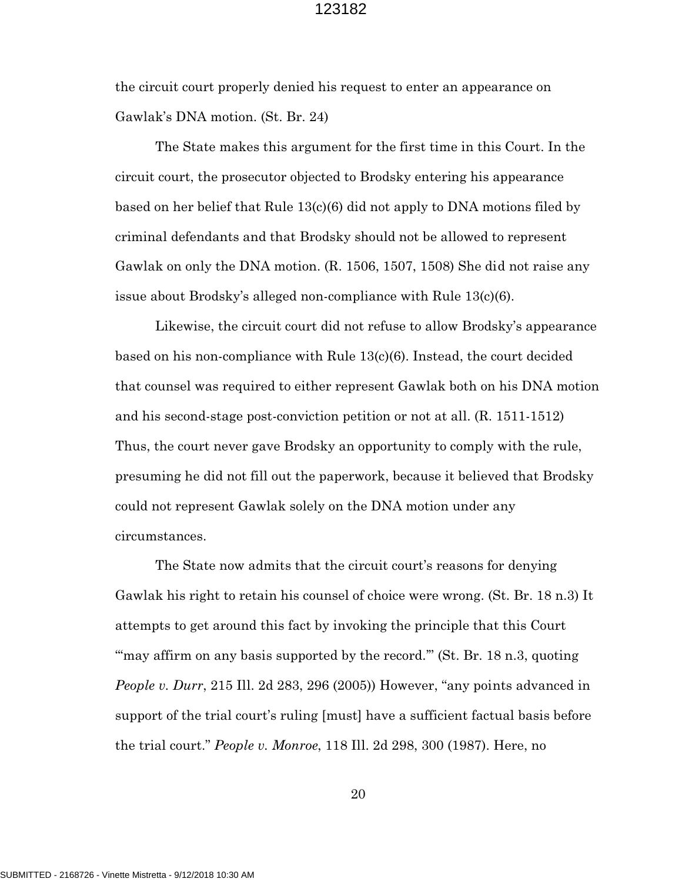the circuit court properly denied his request to enter an appearance on Gawlak's DNA motion. (St. Br. 24)

The State makes this argument for the first time in this Court. In the circuit court, the prosecutor objected to Brodsky entering his appearance based on her belief that Rule 13(c)(6) did not apply to DNA motions filed by criminal defendants and that Brodsky should not be allowed to represent Gawlak on only the DNA motion. (R. 1506, 1507, 1508) She did not raise any issue about Brodsky's alleged non-compliance with Rule 13(c)(6).

Likewise, the circuit court did not refuse to allow Brodsky's appearance based on his non-compliance with Rule 13(c)(6). Instead, the court decided that counsel was required to either represent Gawlak both on his DNA motion and his second-stage post-conviction petition or not at all. (R. 1511-1512) Thus, the court never gave Brodsky an opportunity to comply with the rule, presuming he did not fill out the paperwork, because it believed that Brodsky could not represent Gawlak solely on the DNA motion under any circumstances.

The State now admits that the circuit court's reasons for denying Gawlak his right to retain his counsel of choice were wrong. (St. Br. 18 n.3) It attempts to get around this fact by invoking the principle that this Court "may affirm on any basis supported by the record." (St. Br. 18 n.3, quoting *People v. Durr*, 215 Ill. 2d 283, 296 (2005)) However, "any points advanced in support of the trial court's ruling [must] have a sufficient factual basis before the trial court." *People v. Monroe*, 118 Ill. 2d 298, 300 (1987). Here, no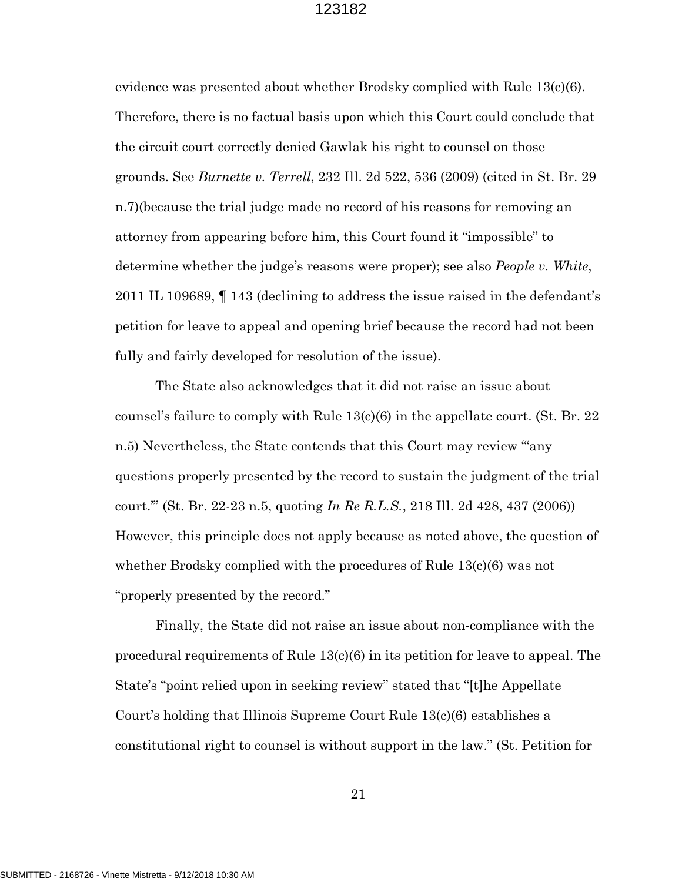evidence was presented about whether Brodsky complied with Rule 13(c)(6). Therefore, there is no factual basis upon which this Court could conclude that the circuit court correctly denied Gawlak his right to counsel on those grounds. See *Burnette v. Terrell*, 232 Ill. 2d 522, 536 (2009) (cited in St. Br. 29 n.7)(because the trial judge made no record of his reasons for removing an attorney from appearing before him, this Court found it "impossible" to determine whether the judge's reasons were proper); see also *People v. White*, 2011 IL 109689, ¶ 143 (declining to address the issue raised in the defendant's petition for leave to appeal and opening brief because the record had not been fully and fairly developed for resolution of the issue).

The State also acknowledges that it did not raise an issue about counsel's failure to comply with Rule 13(c)(6) in the appellate court. (St. Br. 22 n.5) Nevertheless, the State contends that this Court may review "'any questions properly presented by the record to sustain the judgment of the trial court.'" (St. Br. 22-23 n.5, quoting *In Re R.L.S.*, 218 Ill. 2d 428, 437 (2006)) However, this principle does not apply because as noted above, the question of whether Brodsky complied with the procedures of Rule 13(c)(6) was not "properly presented by the record."

Finally, the State did not raise an issue about non-compliance with the procedural requirements of Rule 13(c)(6) in its petition for leave to appeal. The State's "point relied upon in seeking review" stated that "[t]he Appellate Court's holding that Illinois Supreme Court Rule 13(c)(6) establishes a constitutional right to counsel is without support in the law." (St. Petition for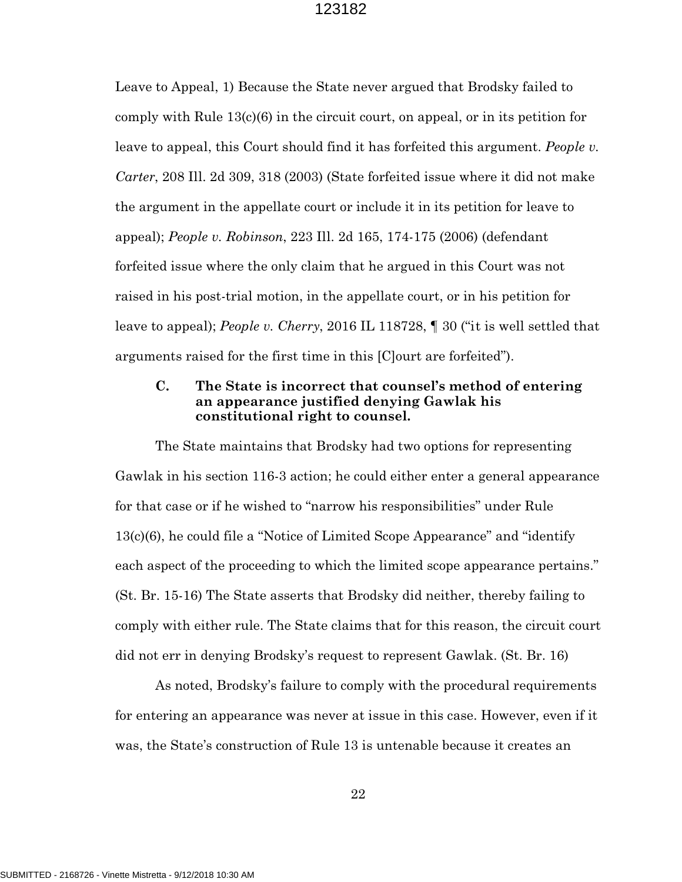Leave to Appeal, 1) Because the State never argued that Brodsky failed to comply with Rule  $13(c)(6)$  in the circuit court, on appeal, or in its petition for leave to appeal, this Court should find it has forfeited this argument. *People v. Carter*, 208 Ill. 2d 309, 318 (2003) (State forfeited issue where it did not make the argument in the appellate court or include it in its petition for leave to appeal); *People v. Robinson*, 223 Ill. 2d 165, 174-175 (2006) (defendant forfeited issue where the only claim that he argued in this Court was not raised in his post-trial motion, in the appellate court, or in his petition for leave to appeal); *People v. Cherry*, 2016 IL 118728, ¶ 30 ("it is well settled that arguments raised for the first time in this [C]ourt are forfeited").

## **C. The State is incorrect that counsel's method of entering an appearance justified denying Gawlak his constitutional right to counsel.**

The State maintains that Brodsky had two options for representing Gawlak in his section 116-3 action; he could either enter a general appearance for that case or if he wished to "narrow his responsibilities" under Rule 13(c)(6), he could file a "Notice of Limited Scope Appearance" and "identify each aspect of the proceeding to which the limited scope appearance pertains." (St. Br. 15-16) The State asserts that Brodsky did neither, thereby failing to comply with either rule. The State claims that for this reason, the circuit court did not err in denying Brodsky's request to represent Gawlak. (St. Br. 16)

As noted, Brodsky's failure to comply with the procedural requirements for entering an appearance was never at issue in this case. However, even if it was, the State's construction of Rule 13 is untenable because it creates an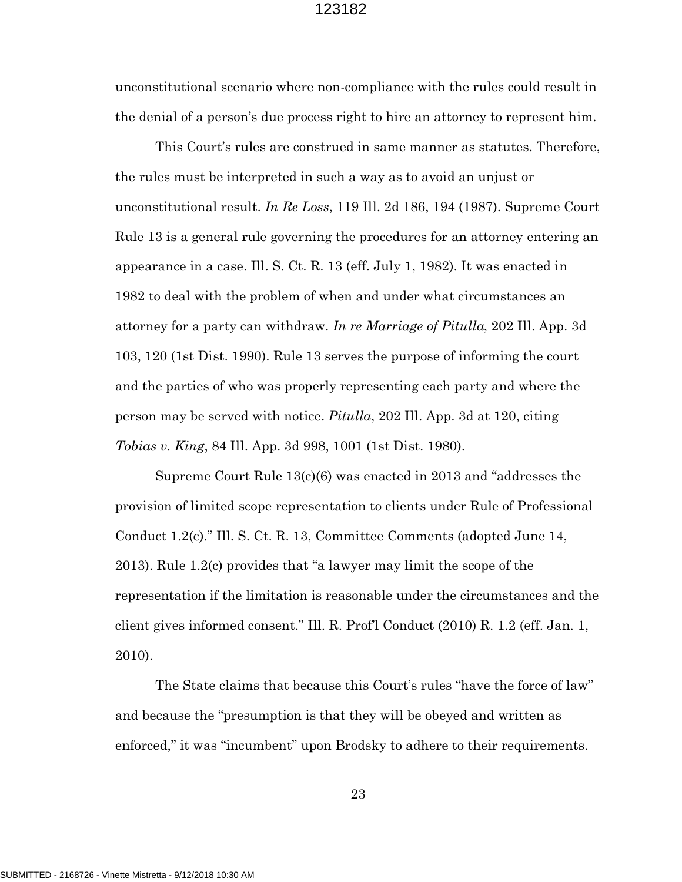unconstitutional scenario where non-compliance with the rules could result in the denial of a person's due process right to hire an attorney to represent him.

This Court's rules are construed in same manner as statutes. Therefore, the rules must be interpreted in such a way as to avoid an unjust or unconstitutional result. *In Re Loss*, 119 Ill. 2d 186, 194 (1987). Supreme Court Rule 13 is a general rule governing the procedures for an attorney entering an appearance in a case. Ill. S. Ct. R. 13 (eff. July 1, 1982). It was enacted in 1982 to deal with the problem of when and under what circumstances an attorney for a party can withdraw. *In re Marriage of Pitulla*, 202 Ill. App. 3d 103, 120 (1st Dist. 1990). Rule 13 serves the purpose of informing the court and the parties of who was properly representing each party and where the person may be served with notice. *Pitulla*, 202 Ill. App. 3d at 120, citing *Tobias v. King*, 84 Ill. App. 3d 998, 1001 (1st Dist. 1980).

Supreme Court Rule 13(c)(6) was enacted in 2013 and "addresses the provision of limited scope representation to clients under Rule of Professional Conduct 1.2(c)." Ill. S. Ct. R. 13, Committee Comments (adopted June 14, 2013). Rule 1.2(c) provides that "a lawyer may limit the scope of the representation if the limitation is reasonable under the circumstances and the client gives informed consent." Ill. R. Prof'l Conduct (2010) R. 1.2 (eff. Jan. 1, 2010).

The State claims that because this Court's rules "have the force of law" and because the "presumption is that they will be obeyed and written as enforced," it was "incumbent" upon Brodsky to adhere to their requirements.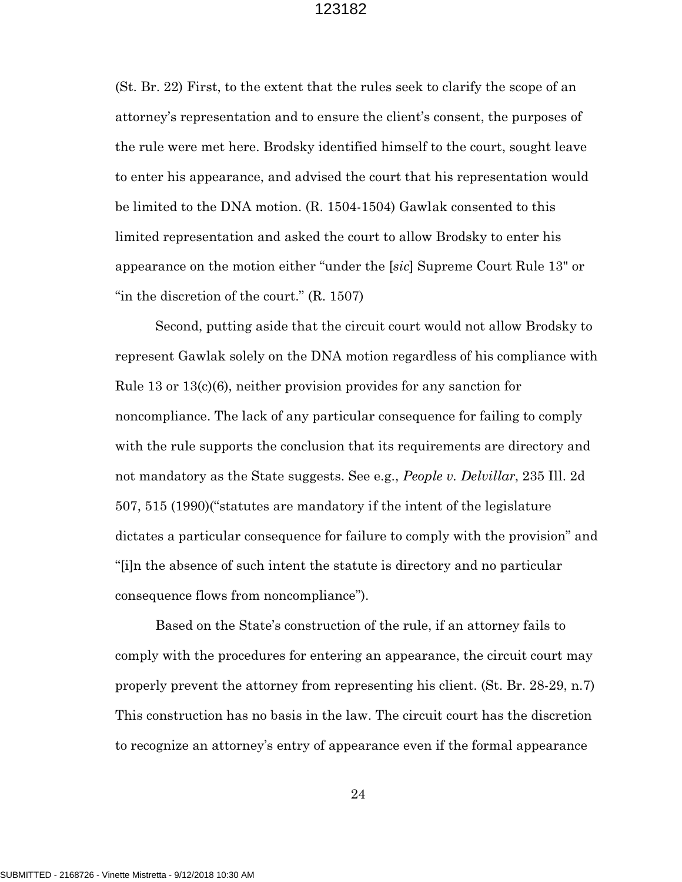(St. Br. 22) First, to the extent that the rules seek to clarify the scope of an attorney's representation and to ensure the client's consent, the purposes of the rule were met here. Brodsky identified himself to the court, sought leave to enter his appearance, and advised the court that his representation would be limited to the DNA motion. (R. 1504-1504) Gawlak consented to this limited representation and asked the court to allow Brodsky to enter his appearance on the motion either "under the [*sic*] Supreme Court Rule 13" or "in the discretion of the court." (R. 1507)

Second, putting aside that the circuit court would not allow Brodsky to represent Gawlak solely on the DNA motion regardless of his compliance with Rule 13 or 13(c)(6), neither provision provides for any sanction for noncompliance. The lack of any particular consequence for failing to comply with the rule supports the conclusion that its requirements are directory and not mandatory as the State suggests. See e.g., *People v. Delvillar*, 235 Ill. 2d 507, 515 (1990)("statutes are mandatory if the intent of the legislature dictates a particular consequence for failure to comply with the provision" and "[i]n the absence of such intent the statute is directory and no particular consequence flows from noncompliance").

Based on the State's construction of the rule, if an attorney fails to comply with the procedures for entering an appearance, the circuit court may properly prevent the attorney from representing his client. (St. Br. 28-29, n.7) This construction has no basis in the law. The circuit court has the discretion to recognize an attorney's entry of appearance even if the formal appearance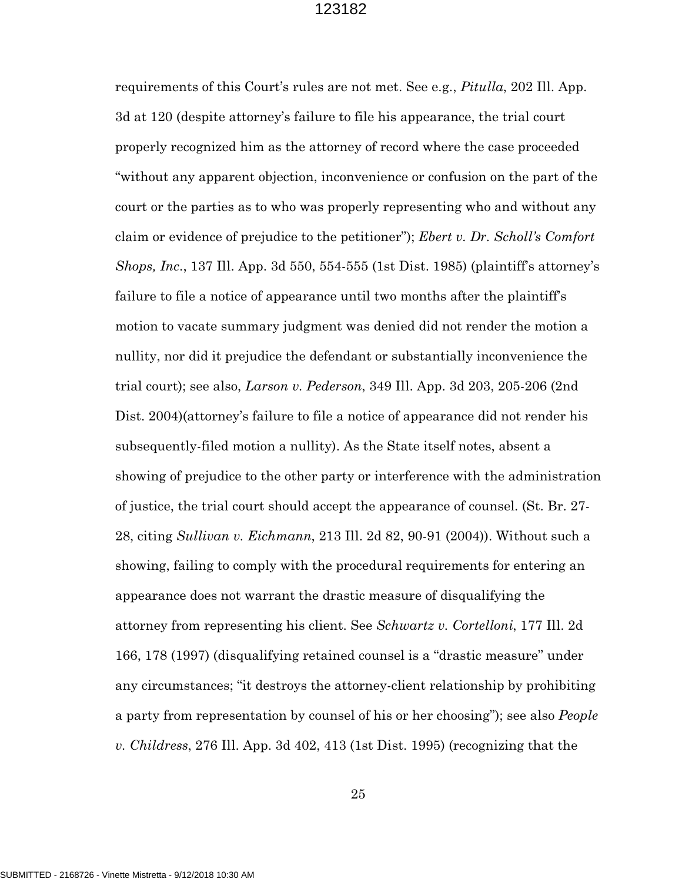requirements of this Court's rules are not met. See e.g., *Pitulla*, 202 Ill. App. 3d at 120 (despite attorney's failure to file his appearance, the trial court properly recognized him as the attorney of record where the case proceeded "without any apparent objection, inconvenience or confusion on the part of the court or the parties as to who was properly representing who and without any claim or evidence of prejudice to the petitioner"); *Ebert v. Dr. Scholl's Comfort Shops, Inc*., 137 Ill. App. 3d 550, 554-555 (1st Dist. 1985) (plaintiff's attorney's failure to file a notice of appearance until two months after the plaintiff's motion to vacate summary judgment was denied did not render the motion a nullity, nor did it prejudice the defendant or substantially inconvenience the trial court); see also, *Larson v. Pederson*, 349 Ill. App. 3d 203, 205-206 (2nd Dist. 2004)(attorney's failure to file a notice of appearance did not render his subsequently-filed motion a nullity). As the State itself notes, absent a showing of prejudice to the other party or interference with the administration of justice, the trial court should accept the appearance of counsel. (St. Br. 27- 28, citing *Sullivan v. Eichmann*, 213 Ill. 2d 82, 90-91 (2004)). Without such a showing, failing to comply with the procedural requirements for entering an appearance does not warrant the drastic measure of disqualifying the attorney from representing his client. See *Schwartz v. Cortelloni*, 177 Ill. 2d 166, 178 (1997) (disqualifying retained counsel is a "drastic measure" under any circumstances; "it destroys the attorney-client relationship by prohibiting a party from representation by counsel of his or her choosing"); see also *People v. Childress*, 276 Ill. App. 3d 402, 413 (1st Dist. 1995) (recognizing that the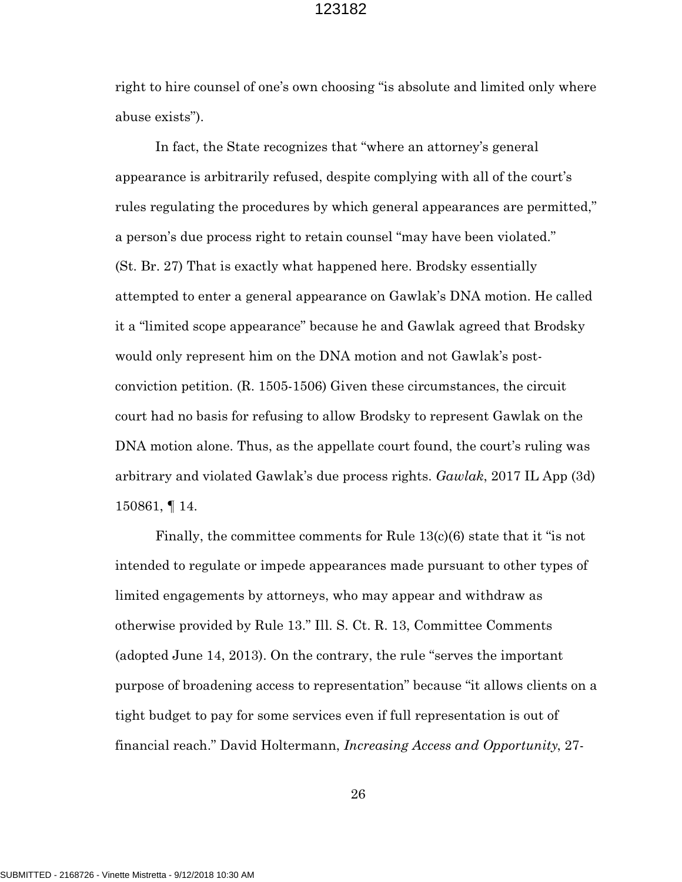right to hire counsel of one's own choosing "is absolute and limited only where abuse exists").

In fact, the State recognizes that "where an attorney's general appearance is arbitrarily refused, despite complying with all of the court's rules regulating the procedures by which general appearances are permitted," a person's due process right to retain counsel "may have been violated." (St. Br. 27) That is exactly what happened here. Brodsky essentially attempted to enter a general appearance on Gawlak's DNA motion. He called it a "limited scope appearance" because he and Gawlak agreed that Brodsky would only represent him on the DNA motion and not Gawlak's postconviction petition. (R. 1505-1506) Given these circumstances, the circuit court had no basis for refusing to allow Brodsky to represent Gawlak on the DNA motion alone. Thus, as the appellate court found, the court's ruling was arbitrary and violated Gawlak's due process rights. *Gawlak*, 2017 IL App (3d) 150861, ¶ 14.

Finally, the committee comments for Rule 13(c)(6) state that it "is not intended to regulate or impede appearances made pursuant to other types of limited engagements by attorneys, who may appear and withdraw as otherwise provided by Rule 13." Ill. S. Ct. R. 13, Committee Comments (adopted June 14, 2013). On the contrary, the rule "serves the important purpose of broadening access to representation" because "it allows clients on a tight budget to pay for some services even if full representation is out of financial reach." David Holtermann, *Increasing Access and Opportunity*, 27-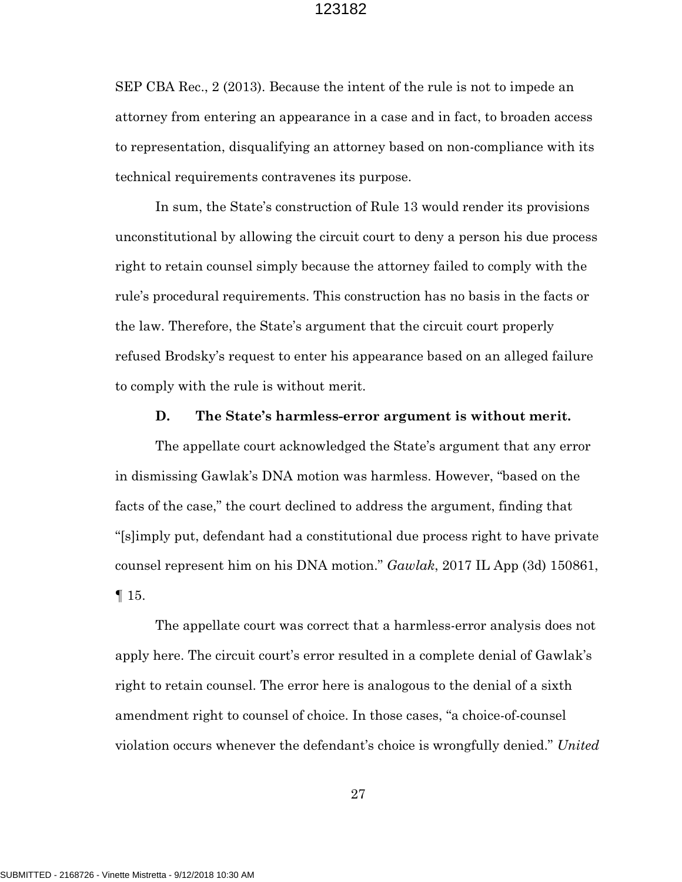SEP CBA Rec., 2 (2013). Because the intent of the rule is not to impede an attorney from entering an appearance in a case and in fact, to broaden access to representation, disqualifying an attorney based on non-compliance with its technical requirements contravenes its purpose.

In sum, the State's construction of Rule 13 would render its provisions unconstitutional by allowing the circuit court to deny a person his due process right to retain counsel simply because the attorney failed to comply with the rule's procedural requirements. This construction has no basis in the facts or the law. Therefore, the State's argument that the circuit court properly refused Brodsky's request to enter his appearance based on an alleged failure to comply with the rule is without merit.

#### **D. The State's harmless-error argument is without merit.**

The appellate court acknowledged the State's argument that any error in dismissing Gawlak's DNA motion was harmless. However, "based on the facts of the case," the court declined to address the argument, finding that "[s]imply put, defendant had a constitutional due process right to have private counsel represent him on his DNA motion." *Gawlak*, 2017 IL App (3d) 150861, ¶ 15.

The appellate court was correct that a harmless-error analysis does not apply here. The circuit court's error resulted in a complete denial of Gawlak's right to retain counsel. The error here is analogous to the denial of a sixth amendment right to counsel of choice. In those cases, "a choice-of-counsel violation occurs whenever the defendant's choice is wrongfully denied." *United*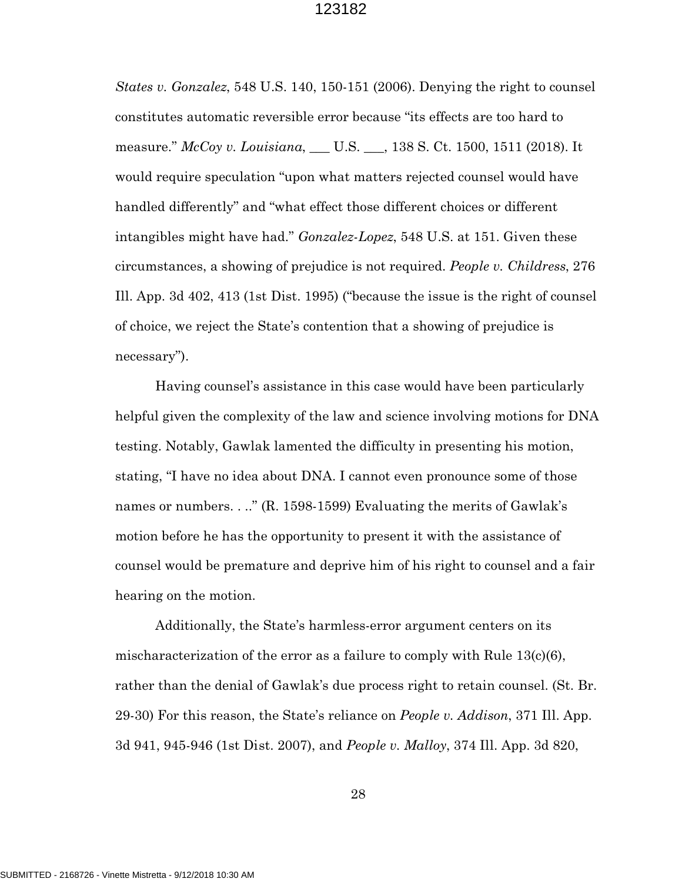*States v. Gonzalez*, 548 U.S. 140, 150-151 (2006). Denying the right to counsel constitutes automatic reversible error because "its effects are too hard to measure." *McCoy v. Louisiana*, \_\_\_ U.S. \_\_\_, 138 S. Ct. 1500, 1511 (2018). It would require speculation "upon what matters rejected counsel would have handled differently" and "what effect those different choices or different intangibles might have had." *Gonzalez-Lopez*, 548 U.S. at 151. Given these circumstances, a showing of prejudice is not required. *People v. Childress*, 276 Ill. App. 3d 402, 413 (1st Dist. 1995) ("because the issue is the right of counsel of choice, we reject the State's contention that a showing of prejudice is necessary").

Having counsel's assistance in this case would have been particularly helpful given the complexity of the law and science involving motions for DNA testing. Notably, Gawlak lamented the difficulty in presenting his motion, stating, "I have no idea about DNA. I cannot even pronounce some of those names or numbers. . .." (R. 1598-1599) Evaluating the merits of Gawlak's motion before he has the opportunity to present it with the assistance of counsel would be premature and deprive him of his right to counsel and a fair hearing on the motion.

Additionally, the State's harmless-error argument centers on its mischaracterization of the error as a failure to comply with Rule 13(c)(6), rather than the denial of Gawlak's due process right to retain counsel. (St. Br. 29-30) For this reason, the State's reliance on *People v. Addison*, 371 Ill. App. 3d 941, 945-946 (1st Dist. 2007), and *People v. Malloy*, 374 Ill. App. 3d 820,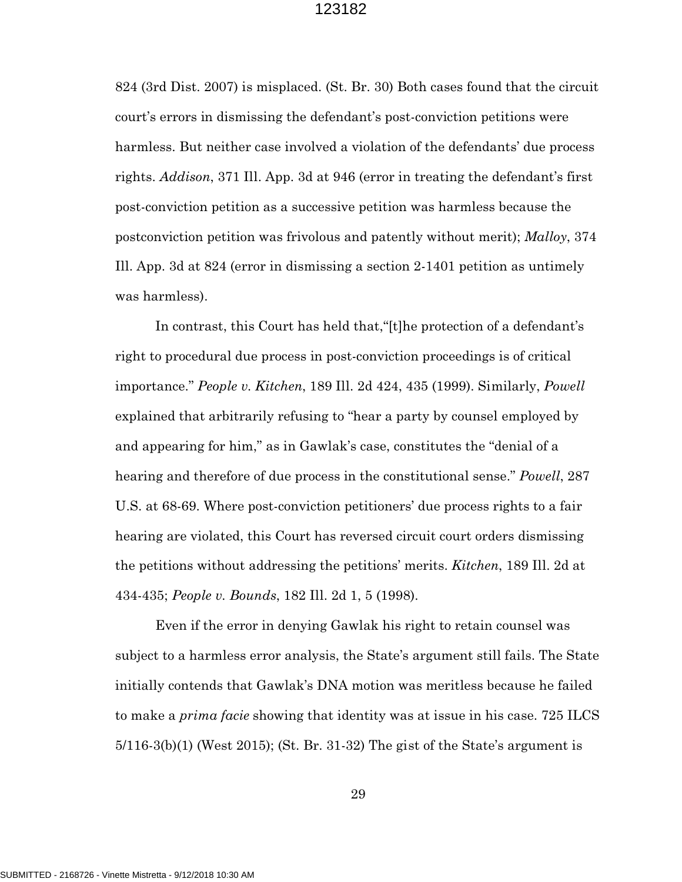824 (3rd Dist. 2007) is misplaced. (St. Br. 30) Both cases found that the circuit court's errors in dismissing the defendant's post-conviction petitions were harmless. But neither case involved a violation of the defendants' due process rights. *Addison*, 371 Ill. App. 3d at 946 (error in treating the defendant's first post-conviction petition as a successive petition was harmless because the postconviction petition was frivolous and patently without merit); *Malloy*, 374 Ill. App. 3d at 824 (error in dismissing a section 2-1401 petition as untimely was harmless).

In contrast, this Court has held that,"[t]he protection of a defendant's right to procedural due process in post-conviction proceedings is of critical importance." *People v. Kitchen*, 189 Ill. 2d 424, 435 (1999). Similarly, *Powell* explained that arbitrarily refusing to "hear a party by counsel employed by and appearing for him," as in Gawlak's case, constitutes the "denial of a hearing and therefore of due process in the constitutional sense." *Powell*, 287 U.S. at 68-69. Where post-conviction petitioners' due process rights to a fair hearing are violated, this Court has reversed circuit court orders dismissing the petitions without addressing the petitions' merits. *Kitchen*, 189 Ill. 2d at 434-435; *People v. Bounds*, 182 Ill. 2d 1, 5 (1998).

Even if the error in denying Gawlak his right to retain counsel was subject to a harmless error analysis, the State's argument still fails. The State initially contends that Gawlak's DNA motion was meritless because he failed to make a *prima facie* showing that identity was at issue in his case. 725 ILCS 5/116-3(b)(1) (West 2015); (St. Br. 31-32) The gist of the State's argument is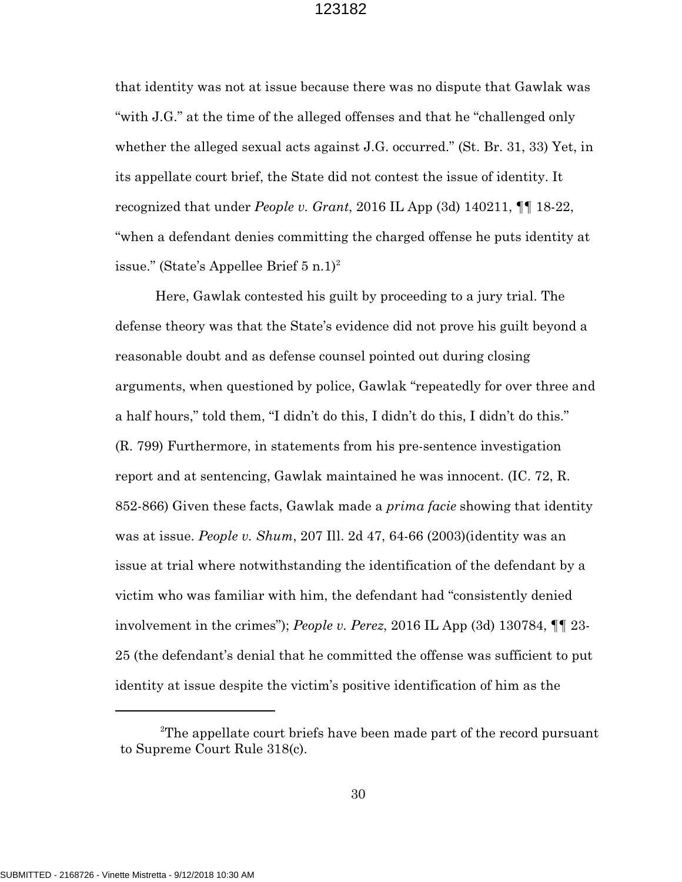that identity was not at issue because there was no dispute that Gawlak was "with J.G." at the time of the alleged offenses and that he "challenged only whether the alleged sexual acts against J.G. occurred." (St. Br. 31, 33) Yet, in its appellate court brief, the State did not contest the issue of identity. It recognized that under *People v. Grant*, 2016 IL App (3d) 140211, ¶¶ 18-22, "when a defendant denies committing the charged offense he puts identity at issue." (State's Appellee Brief  $5 \text{ n.} 1$ )<sup>2</sup>

Here, Gawlak contested his guilt by proceeding to a jury trial. The defense theory was that the State's evidence did not prove his guilt beyond a reasonable doubt and as defense counsel pointed out during closing arguments, when questioned by police, Gawlak "repeatedly for over three and a half hours," told them, "I didn't do this, I didn't do this, I didn't do this." (R. 799) Furthermore, in statements from his pre-sentence investigation report and at sentencing, Gawlak maintained he was innocent. (IC. 72, R. 852-866) Given these facts, Gawlak made a *prima facie* showing that identity was at issue. *People v. Shum*, 207 Ill. 2d 47, 64-66 (2003)(identity was an issue at trial where notwithstanding the identification of the defendant by a victim who was familiar with him, the defendant had "consistently denied involvement in the crimes"); *People v. Perez*, 2016 IL App (3d) 130784, ¶¶ 23- 25 (the defendant's denial that he committed the offense was sufficient to put identity at issue despite the victim's positive identification of him as the

 $2$ The appellate court briefs have been made part of the record pursuant to Supreme Court Rule 318(c).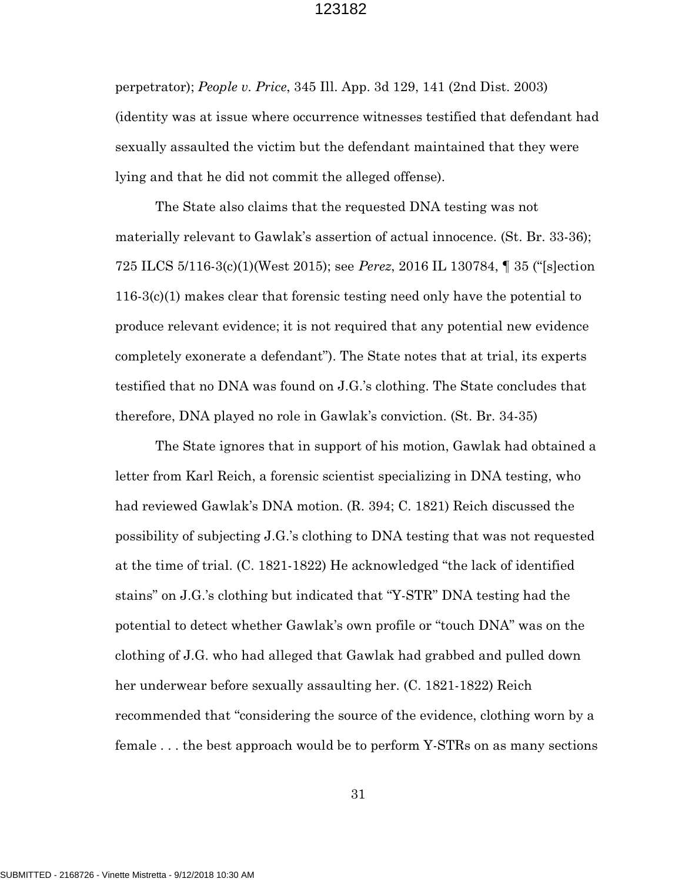perpetrator); *People v. Price*, 345 Ill. App. 3d 129, 141 (2nd Dist. 2003) (identity was at issue where occurrence witnesses testified that defendant had sexually assaulted the victim but the defendant maintained that they were lying and that he did not commit the alleged offense).

The State also claims that the requested DNA testing was not materially relevant to Gawlak's assertion of actual innocence. (St. Br. 33-36); 725 ILCS 5/116-3(c)(1)(West 2015); see *Perez*, 2016 IL 130784, ¶ 35 ("[s]ection 116-3(c)(1) makes clear that forensic testing need only have the potential to produce relevant evidence; it is not required that any potential new evidence completely exonerate a defendant"). The State notes that at trial, its experts testified that no DNA was found on J.G.'s clothing. The State concludes that therefore, DNA played no role in Gawlak's conviction. (St. Br. 34-35)

The State ignores that in support of his motion, Gawlak had obtained a letter from Karl Reich, a forensic scientist specializing in DNA testing, who had reviewed Gawlak's DNA motion. (R. 394; C. 1821) Reich discussed the possibility of subjecting J.G.'s clothing to DNA testing that was not requested at the time of trial. (C. 1821-1822) He acknowledged "the lack of identified stains" on J.G.'s clothing but indicated that "Y-STR" DNA testing had the potential to detect whether Gawlak's own profile or "touch DNA" was on the clothing of J.G. who had alleged that Gawlak had grabbed and pulled down her underwear before sexually assaulting her. (C. 1821-1822) Reich recommended that "considering the source of the evidence, clothing worn by a female . . . the best approach would be to perform Y-STRs on as many sections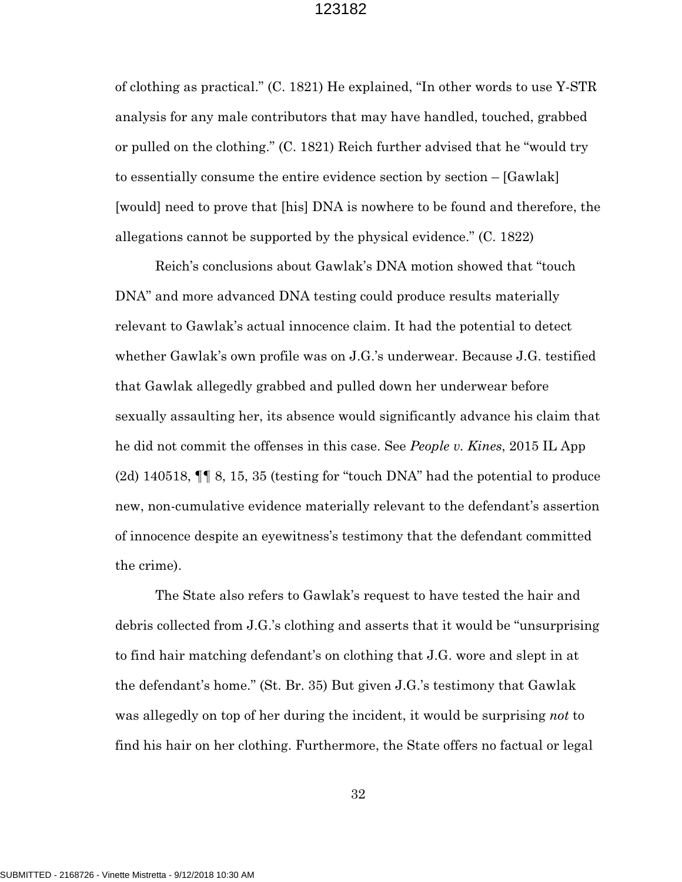of clothing as practical." (C. 1821) He explained, "In other words to use Y-STR analysis for any male contributors that may have handled, touched, grabbed or pulled on the clothing." (C. 1821) Reich further advised that he "would try to essentially consume the entire evidence section by section – [Gawlak] [would] need to prove that [his] DNA is nowhere to be found and therefore, the allegations cannot be supported by the physical evidence." (C. 1822)

Reich's conclusions about Gawlak's DNA motion showed that "touch DNA" and more advanced DNA testing could produce results materially relevant to Gawlak's actual innocence claim. It had the potential to detect whether Gawlak's own profile was on J.G.'s underwear. Because J.G. testified that Gawlak allegedly grabbed and pulled down her underwear before sexually assaulting her, its absence would significantly advance his claim that he did not commit the offenses in this case. See *People v. Kines*, 2015 IL App (2d) 140518, ¶¶ 8, 15, 35 (testing for "touch DNA" had the potential to produce new, non-cumulative evidence materially relevant to the defendant's assertion of innocence despite an eyewitness's testimony that the defendant committed the crime).

 The State also refers to Gawlak's request to have tested the hair and debris collected from J.G.'s clothing and asserts that it would be "unsurprising to find hair matching defendant's on clothing that J.G. wore and slept in at the defendant's home." (St. Br. 35) But given J.G.'s testimony that Gawlak was allegedly on top of her during the incident, it would be surprising *not* to find his hair on her clothing. Furthermore, the State offers no factual or legal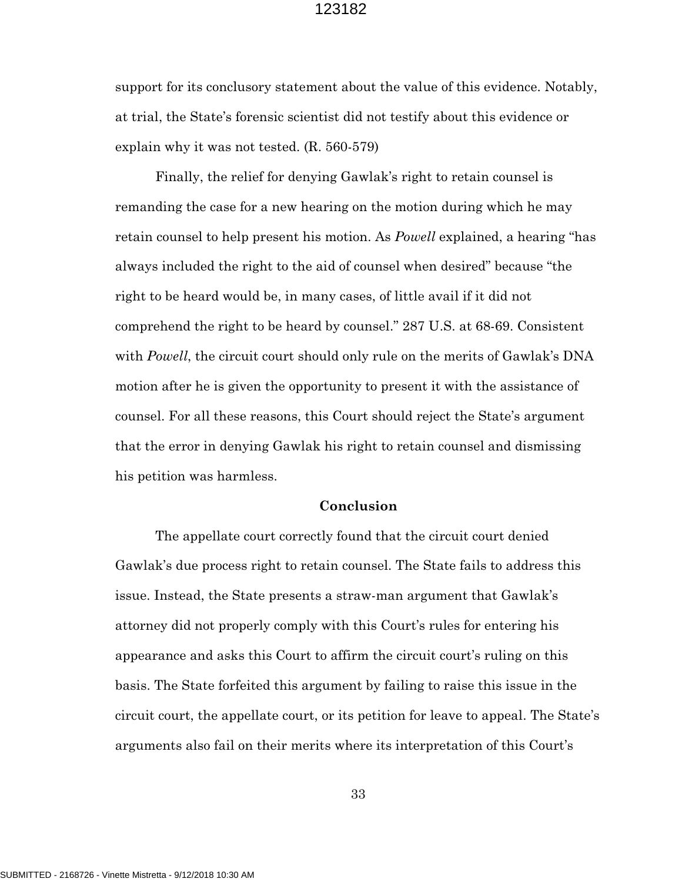support for its conclusory statement about the value of this evidence. Notably, at trial, the State's forensic scientist did not testify about this evidence or explain why it was not tested. (R. 560-579)

 Finally, the relief for denying Gawlak's right to retain counsel is remanding the case for a new hearing on the motion during which he may retain counsel to help present his motion. As *Powell* explained, a hearing "has always included the right to the aid of counsel when desired" because "the right to be heard would be, in many cases, of little avail if it did not comprehend the right to be heard by counsel." 287 U.S. at 68-69. Consistent with *Powell*, the circuit court should only rule on the merits of Gawlak's DNA motion after he is given the opportunity to present it with the assistance of counsel. For all these reasons, this Court should reject the State's argument that the error in denying Gawlak his right to retain counsel and dismissing his petition was harmless.

#### **Conclusion**

The appellate court correctly found that the circuit court denied Gawlak's due process right to retain counsel. The State fails to address this issue. Instead, the State presents a straw-man argument that Gawlak's attorney did not properly comply with this Court's rules for entering his appearance and asks this Court to affirm the circuit court's ruling on this basis. The State forfeited this argument by failing to raise this issue in the circuit court, the appellate court, or its petition for leave to appeal. The State's arguments also fail on their merits where its interpretation of this Court's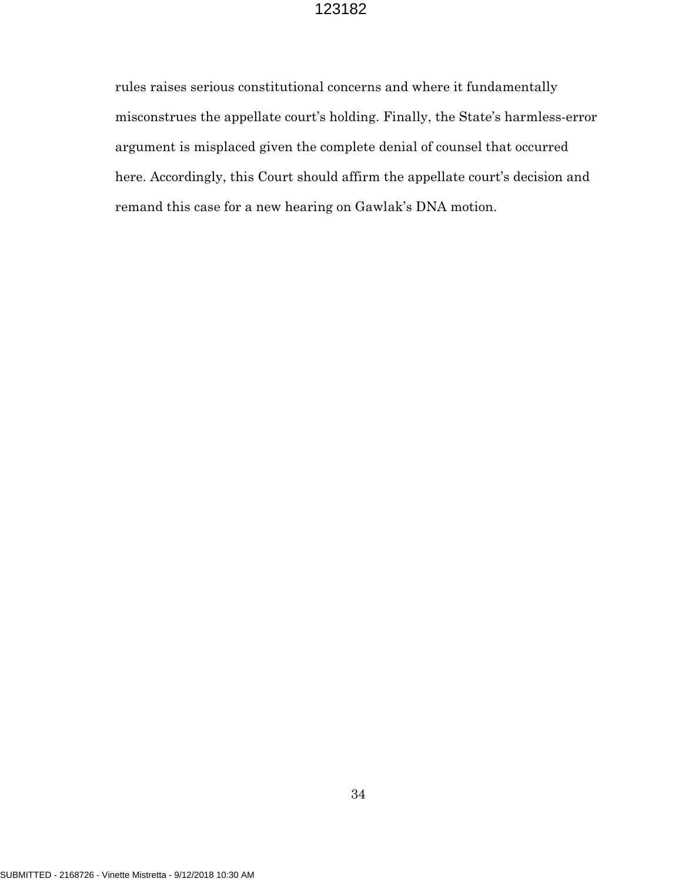rules raises serious constitutional concerns and where it fundamentally misconstrues the appellate court's holding. Finally, the State's harmless-error argument is misplaced given the complete denial of counsel that occurred here. Accordingly, this Court should affirm the appellate court's decision and remand this case for a new hearing on Gawlak's DNA motion.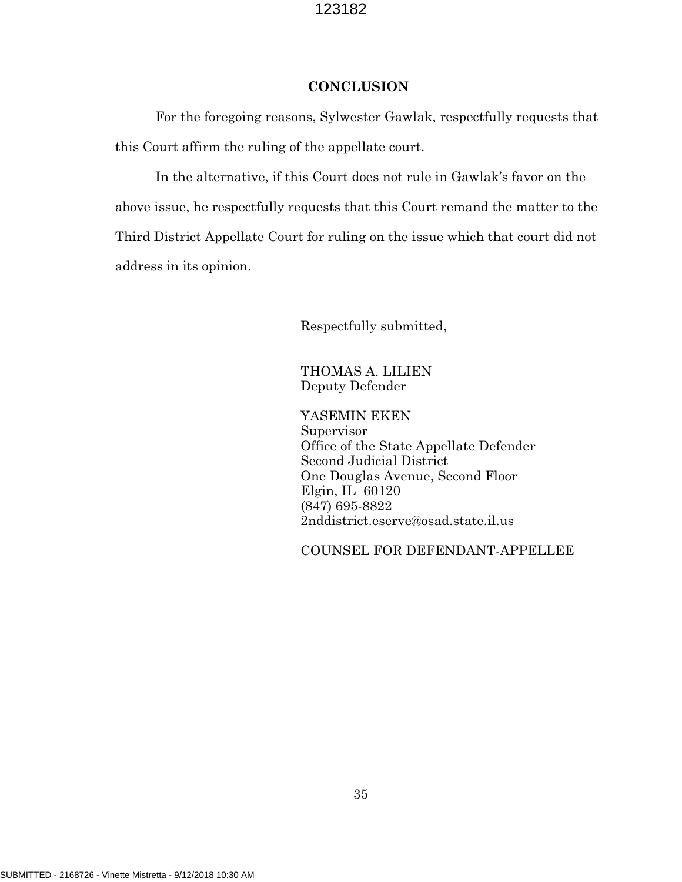## **CONCLUSION**

For the foregoing reasons, Sylwester Gawlak, respectfully requests that this Court affirm the ruling of the appellate court.

In the alternative, if this Court does not rule in Gawlak's favor on the above issue, he respectfully requests that this Court remand the matter to the Third District Appellate Court for ruling on the issue which that court did not address in its opinion.

Respectfully submitted,

THOMAS A. LILIEN Deputy Defender

YASEMIN EKEN Supervisor Office of the State Appellate Defender Second Judicial District One Douglas Avenue, Second Floor Elgin, IL 60120 (847) 695-8822 2nddistrict.eserve@osad.state.il.us

COUNSEL FOR DEFENDANT-APPELLEE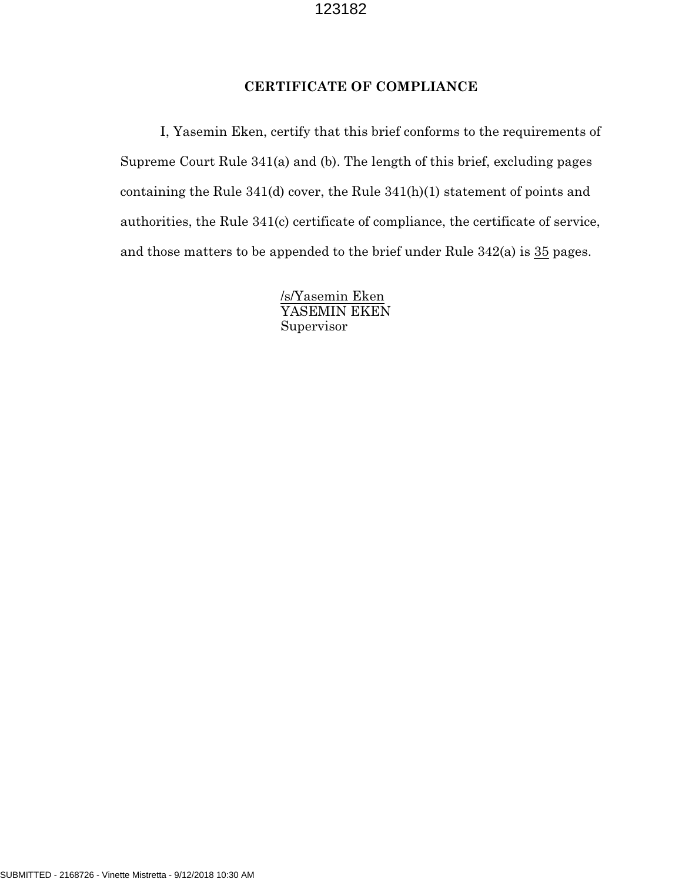## **CERTIFICATE OF COMPLIANCE**

I, Yasemin Eken, certify that this brief conforms to the requirements of Supreme Court Rule 341(a) and (b). The length of this brief, excluding pages containing the Rule 341(d) cover, the Rule 341(h)(1) statement of points and authorities, the Rule 341(c) certificate of compliance, the certificate of service, and those matters to be appended to the brief under Rule  $342(a)$  is  $35$  pages.

> /s/Yasemin Eken YASEMIN EKEN Supervisor